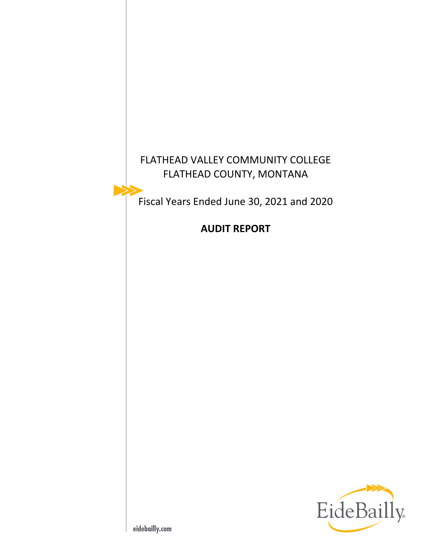# FLATHEAD VALLEY COMMUNITY COLLEGE FLATHEAD COUNTY, MONTANA

Fiscal Years Ended June 30, 2021 and 2020

**AUDIT REPORT**

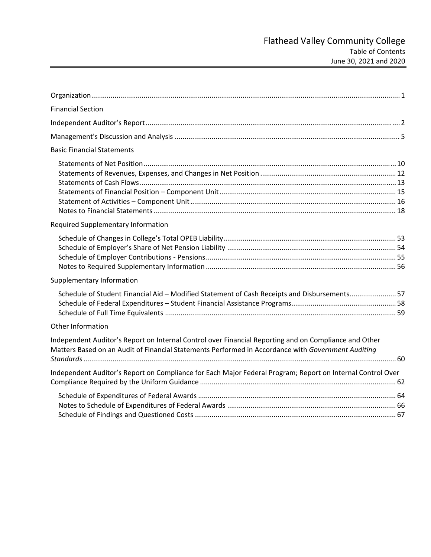| <b>Financial Section</b>                                                                                                                                                                                    |
|-------------------------------------------------------------------------------------------------------------------------------------------------------------------------------------------------------------|
|                                                                                                                                                                                                             |
|                                                                                                                                                                                                             |
| <b>Basic Financial Statements</b>                                                                                                                                                                           |
|                                                                                                                                                                                                             |
| Required Supplementary Information                                                                                                                                                                          |
|                                                                                                                                                                                                             |
| Supplementary Information                                                                                                                                                                                   |
| Schedule of Student Financial Aid - Modified Statement of Cash Receipts and Disbursements57                                                                                                                 |
| Other Information                                                                                                                                                                                           |
| Independent Auditor's Report on Internal Control over Financial Reporting and on Compliance and Other<br>Matters Based on an Audit of Financial Statements Performed in Accordance with Government Auditing |
| Independent Auditor's Report on Compliance for Each Major Federal Program; Report on Internal Control Over                                                                                                  |
|                                                                                                                                                                                                             |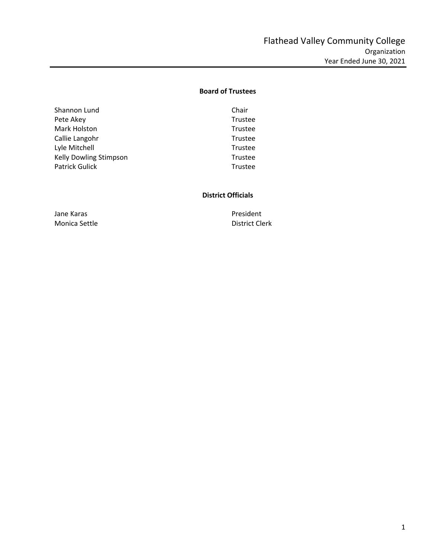# **Board of Trustees**

| Shannon Lund           | Chair |
|------------------------|-------|
| Pete Akey              | Trust |
| Mark Holston           | Trust |
| Callie Langohr         | Trust |
| Lyle Mitchell          | Trust |
| Kelly Dowling Stimpson | Trust |
| <b>Patrick Gulick</b>  | Trust |

Trustee Trustee Trustee Trustee Trustee **Trustee** 

# **District Officials**

Jane Karas **President** Monica Settle **District Clerk**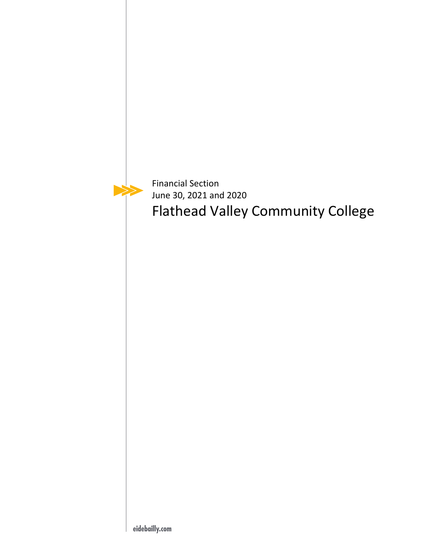Financial Section June 30, 2021 and 2020 Flathead Valley Community College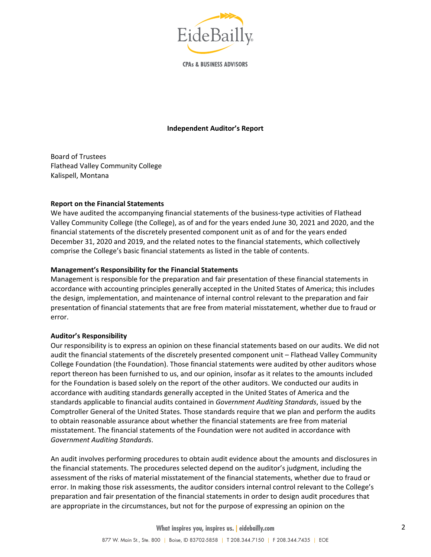

**CPAs & BUSINESS ADVISORS** 

#### **Independent Auditor's Report**

Board of Trustees Flathead Valley Community College Kalispell, Montana

#### **Report on the Financial Statements**

We have audited the accompanying financial statements of the business-type activities of Flathead Valley Community College (the College), as of and for the years ended June 30, 2021 and 2020, and the financial statements of the discretely presented component unit as of and for the years ended December 31, 2020 and 2019, and the related notes to the financial statements, which collectively comprise the College's basic financial statements as listed in the table of contents.

#### **Management's Responsibility for the Financial Statements**

Management is responsible for the preparation and fair presentation of these financial statements in accordance with accounting principles generally accepted in the United States of America; this includes the design, implementation, and maintenance of internal control relevant to the preparation and fair presentation of financial statements that are free from material misstatement, whether due to fraud or error.

#### **Auditor's Responsibility**

Our responsibility is to express an opinion on these financial statements based on our audits. We did not audit the financial statements of the discretely presented component unit – Flathead Valley Community College Foundation (the Foundation). Those financial statements were audited by other auditors whose report thereon has been furnished to us, and our opinion, insofar as it relates to the amounts included for the Foundation is based solely on the report of the other auditors. We conducted our audits in accordance with auditing standards generally accepted in the United States of America and the standards applicable to financial audits contained in *Government Auditing Standards*, issued by the Comptroller General of the United States. Those standards require that we plan and perform the audits to obtain reasonable assurance about whether the financial statements are free from material misstatement. The financial statements of the Foundation were not audited in accordance with *Government Auditing Standards*.

An audit involves performing procedures to obtain audit evidence about the amounts and disclosures in the financial statements. The procedures selected depend on the auditor's judgment, including the assessment of the risks of material misstatement of the financial statements, whether due to fraud or error. In making those risk assessments, the auditor considers internal control relevant to the College's preparation and fair presentation of the financial statements in order to design audit procedures that are appropriate in the circumstances, but not for the purpose of expressing an opinion on the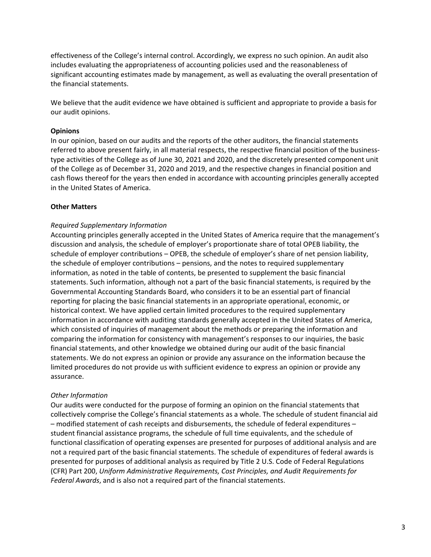effectiveness of the College's internal control. Accordingly, we express no such opinion. An audit also includes evaluating the appropriateness of accounting policies used and the reasonableness of significant accounting estimates made by management, as well as evaluating the overall presentation of the financial statements.

We believe that the audit evidence we have obtained is sufficient and appropriate to provide a basis for our audit opinions.

#### **Opinions**

In our opinion, based on our audits and the reports of the other auditors, the financial statements referred to above present fairly, in all material respects, the respective financial position of the businesstype activities of the College as of June 30, 2021 and 2020, and the discretely presented component unit of the College as of December 31, 2020 and 2019, and the respective changes in financial position and cash flows thereof for the years then ended in accordance with accounting principles generally accepted in the United States of America.

#### **Other Matters**

#### *Required Supplementary Information*

Accounting principles generally accepted in the United States of America require that the management's discussion and analysis, the schedule of employer's proportionate share of total OPEB liability, the schedule of employer contributions – OPEB, the schedule of employer's share of net pension liability, the schedule of employer contributions – pensions, and the notes to required supplementary information, as noted in the table of contents, be presented to supplement the basic financial statements. Such information, although not a part of the basic financial statements, is required by the Governmental Accounting Standards Board, who considers it to be an essential part of financial reporting for placing the basic financial statements in an appropriate operational, economic, or historical context. We have applied certain limited procedures to the required supplementary information in accordance with auditing standards generally accepted in the United States of America, which consisted of inquiries of management about the methods or preparing the information and comparing the information for consistency with management's responses to our inquiries, the basic financial statements, and other knowledge we obtained during our audit of the basic financial statements. We do not express an opinion or provide any assurance on the information because the limited procedures do not provide us with sufficient evidence to express an opinion or provide any assurance.

#### *Other Information*

Our audits were conducted for the purpose of forming an opinion on the financial statements that collectively comprise the College's financial statements as a whole. The schedule of student financial aid – modified statement of cash receipts and disbursements, the schedule of federal expenditures – student financial assistance programs, the schedule of full time equivalents, and the schedule of functional classification of operating expenses are presented for purposes of additional analysis and are not a required part of the basic financial statements. The schedule of expenditures of federal awards is presented for purposes of additional analysis as required by Title 2 U.S. Code of Federal Regulations (CFR) Part 200, *Uniform Administrative Requirements, Cost Principles, and Audit Requirements for Federal Awards*, and is also not a required part of the financial statements.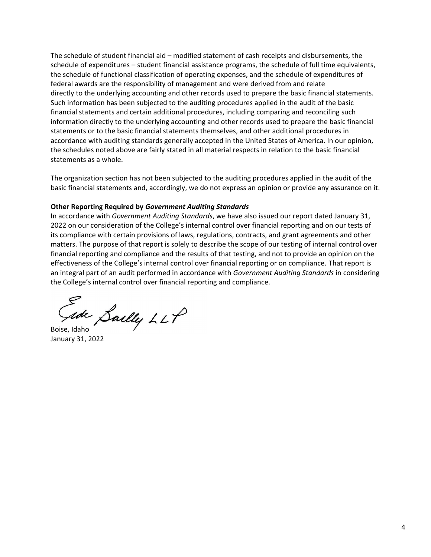The schedule of student financial aid – modified statement of cash receipts and disbursements, the schedule of expenditures – student financial assistance programs, the schedule of full time equivalents, the schedule of functional classification of operating expenses, and the schedule of expenditures of federal awards are the responsibility of management and were derived from and relate directly to the underlying accounting and other records used to prepare the basic financial statements. Such information has been subjected to the auditing procedures applied in the audit of the basic financial statements and certain additional procedures, including comparing and reconciling such information directly to the underlying accounting and other records used to prepare the basic financial statements or to the basic financial statements themselves, and other additional procedures in accordance with auditing standards generally accepted in the United States of America. In our opinion, the schedules noted above are fairly stated in all material respects in relation to the basic financial statements as a whole.

The organization section has not been subjected to the auditing procedures applied in the audit of the basic financial statements and, accordingly, we do not express an opinion or provide any assurance on it.

#### **Other Reporting Required by** *Government Auditing Standards*

In accordance with *Government Auditing Standards*, we have also issued our report dated January 31, 2022 on our consideration of the College's internal control over financial reporting and on our tests of its compliance with certain provisions of laws, regulations, contracts, and grant agreements and other matters. The purpose of that report is solely to describe the scope of our testing of internal control over financial reporting and compliance and the results of that testing, and not to provide an opinion on the effectiveness of the College's internal control over financial reporting or on compliance. That report is an integral part of an audit performed in accordance with *Government Auditing Standards* in considering the College's internal control over financial reporting and compliance.

Gide Sailly LLP

January 31, 2022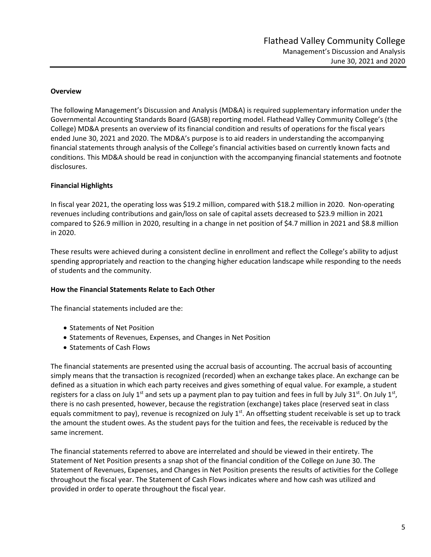#### **Overview**

The following Management's Discussion and Analysis (MD&A) is required supplementary information under the Governmental Accounting Standards Board (GASB) reporting model. Flathead Valley Community College's (the College) MD&A presents an overview of its financial condition and results of operations for the fiscal years ended June 30, 2021 and 2020. The MD&A's purpose is to aid readers in understanding the accompanying financial statements through analysis of the College's financial activities based on currently known facts and conditions. This MD&A should be read in conjunction with the accompanying financial statements and footnote disclosures.

#### **Financial Highlights**

In fiscal year 2021, the operating loss was \$19.2 million, compared with \$18.2 million in 2020. Non‐operating revenues including contributions and gain/loss on sale of capital assets decreased to \$23.9 million in 2021 compared to \$26.9 million in 2020, resulting in a change in net position of \$4.7 million in 2021 and \$8.8 million in 2020.

These results were achieved during a consistent decline in enrollment and reflect the College's ability to adjust spending appropriately and reaction to the changing higher education landscape while responding to the needs of students and the community.

#### **How the Financial Statements Relate to Each Other**

The financial statements included are the:

- Statements of Net Position
- Statements of Revenues, Expenses, and Changes in Net Position
- Statements of Cash Flows

The financial statements are presented using the accrual basis of accounting. The accrual basis of accounting simply means that the transaction is recognized (recorded) when an exchange takes place. An exchange can be defined as a situation in which each party receives and gives something of equal value. For example, a student registers for a class on July 1<sup>st</sup> and sets up a payment plan to pay tuition and fees in full by July 31<sup>st</sup>. On July 1<sup>st</sup>, there is no cash presented, however, because the registration (exchange) takes place (reserved seat in class equals commitment to pay), revenue is recognized on July 1<sup>st</sup>. An offsetting student receivable is set up to track the amount the student owes. As the student pays for the tuition and fees, the receivable is reduced by the same increment.

The financial statements referred to above are interrelated and should be viewed in their entirety. The Statement of Net Position presents a snap shot of the financial condition of the College on June 30. The Statement of Revenues, Expenses, and Changes in Net Position presents the results of activities for the College throughout the fiscal year. The Statement of Cash Flows indicates where and how cash was utilized and provided in order to operate throughout the fiscal year.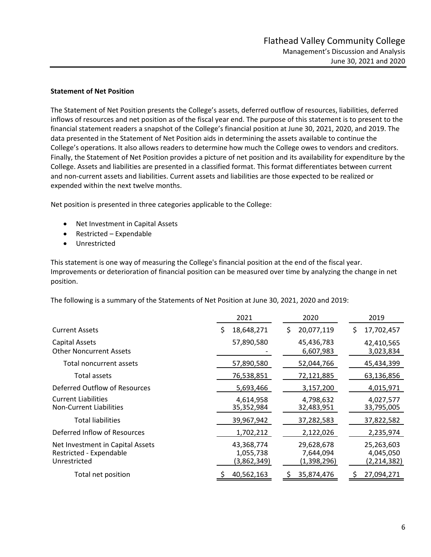#### **Statement of Net Position**

The Statement of Net Position presents the College's assets, deferred outflow of resources, liabilities, deferred inflows of resources and net position as of the fiscal year end. The purpose of this statement is to present to the financial statement readers a snapshot of the College's financial position at June 30, 2021, 2020, and 2019. The data presented in the Statement of Net Position aids in determining the assets available to continue the College's operations. It also allows readers to determine how much the College owes to vendors and creditors. Finally, the Statement of Net Position provides a picture of net position and its availability for expenditure by the College. Assets and liabilities are presented in a classified format. This format differentiates between current and non‐current assets and liabilities. Current assets and liabilities are those expected to be realized or expended within the next twelve months.

Net position is presented in three categories applicable to the College:

- Net Investment in Capital Assets
- Restricted Expendable
- **•** Unrestricted

This statement is one way of measuring the College's financial position at the end of the fiscal year. Improvements or deterioration of financial position can be measured over time by analyzing the change in net position.

The following is a summary of the Statements of Net Position at June 30, 2021, 2020 and 2019:

|                                                                             | 2021                                   | 2020                                   |                                        |
|-----------------------------------------------------------------------------|----------------------------------------|----------------------------------------|----------------------------------------|
| <b>Current Assets</b>                                                       | 18,648,271<br>S                        | 20,077,119<br>Ś.                       | S.<br>17,702,457                       |
| Capital Assets<br><b>Other Noncurrent Assets</b>                            | 57,890,580                             | 45,436,783<br>6,607,983                | 42,410,565<br>3,023,834                |
| Total noncurrent assets                                                     | 57,890,580                             | 52,044,766                             | 45,434,399                             |
| Total assets                                                                | 76,538,851                             | 72,121,885                             | 63,136,856                             |
| Deferred Outflow of Resources                                               | 5,693,466                              | 3,157,200                              | 4,015,971                              |
| <b>Current Liabilities</b><br>Non-Current Liabilities                       | 4,614,958<br>35,352,984                | 4,798,632<br>32,483,951                | 4,027,577<br>33,795,005                |
| <b>Total liabilities</b>                                                    | 39,967,942                             | 37,282,583                             | 37,822,582                             |
| Deferred Inflow of Resources                                                | 1,702,212                              | 2,122,026                              | 2,235,974                              |
| Net Investment in Capital Assets<br>Restricted - Expendable<br>Unrestricted | 43,368,774<br>1,055,738<br>(3,862,349) | 29,628,678<br>7,644,094<br>(1,398,296) | 25,263,603<br>4,045,050<br>(2,214,382) |
| Total net position                                                          | 40,562,163                             | 35,874,476                             | 27,094,271                             |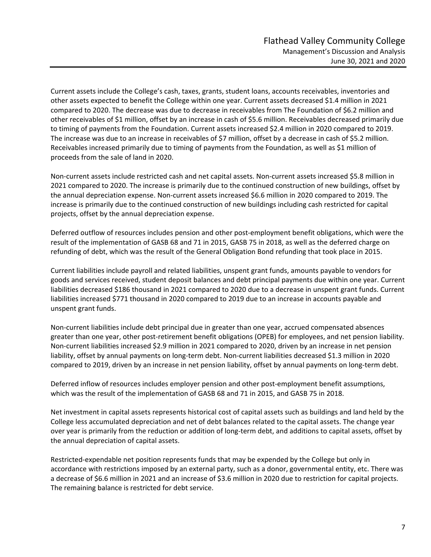Current assets include the College's cash, taxes, grants, student loans, accounts receivables, inventories and other assets expected to benefit the College within one year. Current assets decreased \$1.4 million in 2021 compared to 2020. The decrease was due to decrease in receivables from The Foundation of \$6.2 million and other receivables of \$1 million, offset by an increase in cash of \$5.6 million. Receivables decreased primarily due to timing of payments from the Foundation. Current assets increased \$2.4 million in 2020 compared to 2019. The increase was due to an increase in receivables of \$7 million, offset by a decrease in cash of \$5.2 million. Receivables increased primarily due to timing of payments from the Foundation, as well as \$1 million of proceeds from the sale of land in 2020.

Non‐current assets include restricted cash and net capital assets. Non‐current assets increased \$5.8 million in 2021 compared to 2020. The increase is primarily due to the continued construction of new buildings, offset by the annual depreciation expense. Non-current assets increased \$6.6 million in 2020 compared to 2019. The increase is primarily due to the continued construction of new buildings including cash restricted for capital projects, offset by the annual depreciation expense.

Deferred outflow of resources includes pension and other post-employment benefit obligations, which were the result of the implementation of GASB 68 and 71 in 2015, GASB 75 in 2018, as well as the deferred charge on refunding of debt, which was the result of the General Obligation Bond refunding that took place in 2015.

Current liabilities include payroll and related liabilities, unspent grant funds, amounts payable to vendors for goods and services received, student deposit balances and debt principal payments due within one year. Current liabilities decreased \$186 thousand in 2021 compared to 2020 due to a decrease in unspent grant funds. Current liabilities increased \$771 thousand in 2020 compared to 2019 due to an increase in accounts payable and unspent grant funds.

Non-current liabilities include debt principal due in greater than one year, accrued compensated absences greater than one year, other post‐retirement benefit obligations (OPEB) for employees, and net pension liability. Non-current liabilities increased \$2.9 million in 2021 compared to 2020, driven by an increase in net pension liability, offset by annual payments on long‐term debt. Non‐current liabilities decreased \$1.3 million in 2020 compared to 2019, driven by an increase in net pension liability, offset by annual payments on long‐term debt.

Deferred inflow of resources includes employer pension and other post-employment benefit assumptions, which was the result of the implementation of GASB 68 and 71 in 2015, and GASB 75 in 2018.

Net investment in capital assets represents historical cost of capital assets such as buildings and land held by the College less accumulated depreciation and net of debt balances related to the capital assets. The change year over year is primarily from the reduction or addition of long‐term debt, and additions to capital assets, offset by the annual depreciation of capital assets.

Restricted‐expendable net position represents funds that may be expended by the College but only in accordance with restrictions imposed by an external party, such as a donor, governmental entity, etc. There was a decrease of \$6.6 million in 2021 and an increase of \$3.6 million in 2020 due to restriction for capital projects. The remaining balance is restricted for debt service.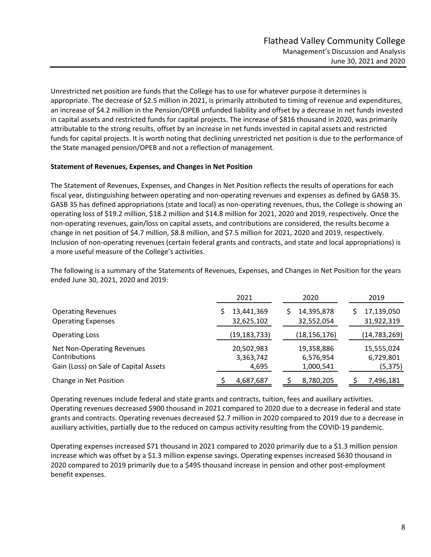Unrestricted net position are funds that the College has to use for whatever purpose it determines is appropriate. The decrease of \$2.5 million in 2021, is primarily attributed to timing of revenue and expenditures, an increase of \$4.2 million in the Pension/OPEB unfunded liability and offset by a decrease in net funds invested in capital assets and restricted funds for capital projects. The increase of \$816 thousand in 2020, was primarily attributable to the strong results, offset by an increase in net funds invested in capital assets and restricted funds for capital projects. It is worth noting that declining unrestricted net position is due to the performance of the State managed pension/OPEB and not a reflection of management.

## **Statement of Revenues, Expenses, and Changes in Net Position**

The Statement of Revenues, Expenses, and Changes in Net Position reflects the results of operations for each fiscal year, distinguishing between operating and non-operating revenues and expenses as defined by GASB 35. GASB 35 has defined appropriations (state and local) as non‐operating revenues, thus, the College is showing an operating loss of \$19.2 million, \$18.2 million and \$14.8 million for 2021, 2020 and 2019, respectively. Once the non‐operating revenues, gain/loss on capital assets, and contributions are considered, the results become a change in net position of \$4.7 million, \$8.8 million, and \$7.5 million for 2021, 2020 and 2019, respectively. Inclusion of non-operating revenues (certain federal grants and contracts, and state and local appropriations) is a more useful measure of the College's activities.

The following is a summary of the Statements of Revenues, Expenses, and Changes in Net Position for the years ended June 30, 2021, 2020 and 2019:

|                                                                                      | 2021                             | 2020                                 | 2019                                |
|--------------------------------------------------------------------------------------|----------------------------------|--------------------------------------|-------------------------------------|
| <b>Operating Revenues</b><br><b>Operating Expenses</b>                               | 13,441,369<br>32,625,102         | 14,395,878<br>32,552,054             | 17,139,050<br>31,922,319            |
| <b>Operating Loss</b>                                                                | (19, 183, 733)                   | (18, 156, 176)                       | (14, 783, 269)                      |
| Net Non-Operating Revenues<br>Contributions<br>Gain (Loss) on Sale of Capital Assets | 20,502,983<br>3,363,742<br>4,695 | 19,358,886<br>6,576,954<br>1,000,541 | 15,555,024<br>6,729,801<br>(5, 375) |
| Change in Net Position                                                               | 4,687,687                        | 8,780,205                            | 7,496,181                           |

Operating revenues include federal and state grants and contracts, tuition, fees and auxiliary activities. Operating revenues decreased \$900 thousand in 2021 compared to 2020 due to a decrease in federal and state grants and contracts. Operating revenues decreased \$2.7 million in 2020 compared to 2019 due to a decrease in auxiliary activities, partially due to the reduced on campus activity resulting from the COVID‐19 pandemic.

Operating expenses increased \$71 thousand in 2021 compared to 2020 primarily due to a \$1.3 million pension increase which was offset by a \$1.3 million expense savings. Operating expenses increased \$630 thousand in 2020 compared to 2019 primarily due to a \$495 thousand increase in pension and other post‐employment benefit expenses.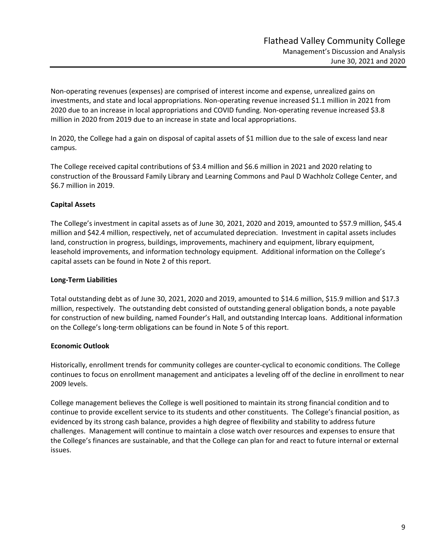Non-operating revenues (expenses) are comprised of interest income and expense, unrealized gains on investments, and state and local appropriations. Non-operating revenue increased \$1.1 million in 2021 from 2020 due to an increase in local appropriations and COVID funding. Non‐operating revenue increased \$3.8 million in 2020 from 2019 due to an increase in state and local appropriations.

In 2020, the College had a gain on disposal of capital assets of \$1 million due to the sale of excess land near campus.

The College received capital contributions of \$3.4 million and \$6.6 million in 2021 and 2020 relating to construction of the Broussard Family Library and Learning Commons and Paul D Wachholz College Center, and \$6.7 million in 2019.

## **Capital Assets**

The College's investment in capital assets as of June 30, 2021, 2020 and 2019, amounted to \$57.9 million, \$45.4 million and \$42.4 million, respectively, net of accumulated depreciation. Investment in capital assets includes land, construction in progress, buildings, improvements, machinery and equipment, library equipment, leasehold improvements, and information technology equipment. Additional information on the College's capital assets can be found in Note 2 of this report.

## **Long‐Term Liabilities**

Total outstanding debt as of June 30, 2021, 2020 and 2019, amounted to \$14.6 million, \$15.9 million and \$17.3 million, respectively. The outstanding debt consisted of outstanding general obligation bonds, a note payable for construction of new building, named Founder's Hall, and outstanding Intercap loans. Additional information on the College's long‐term obligations can be found in Note 5 of this report.

## **Economic Outlook**

Historically, enrollment trends for community colleges are counter‐cyclical to economic conditions. The College continues to focus on enrollment management and anticipates a leveling off of the decline in enrollment to near 2009 levels.

College management believes the College is well positioned to maintain its strong financial condition and to continue to provide excellent service to its students and other constituents. The College's financial position, as evidenced by its strong cash balance, provides a high degree of flexibility and stability to address future challenges. Management will continue to maintain a close watch over resources and expenses to ensure that the College's finances are sustainable, and that the College can plan for and react to future internal or external issues.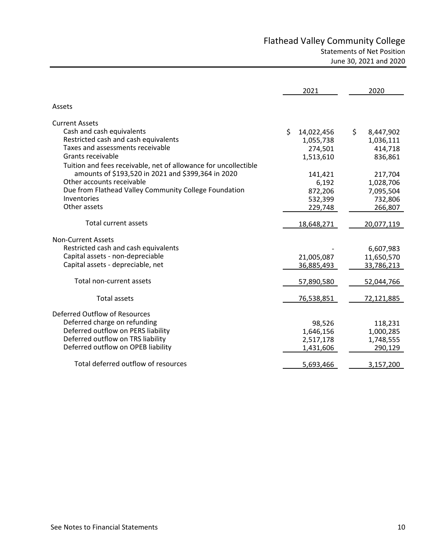# Flathead Valley Community College Statements of Net Position June 30, 2021 and 2020

|                                                                 | 2021             | 2020            |
|-----------------------------------------------------------------|------------------|-----------------|
| Assets                                                          |                  |                 |
| <b>Current Assets</b>                                           |                  |                 |
| Cash and cash equivalents                                       | \$<br>14,022,456 | \$<br>8,447,902 |
| Restricted cash and cash equivalents                            | 1,055,738        | 1,036,111       |
| Taxes and assessments receivable                                | 274,501          | 414,718         |
| Grants receivable                                               | 1,513,610        | 836,861         |
| Tuition and fees receivable, net of allowance for uncollectible |                  |                 |
| amounts of \$193,520 in 2021 and \$399,364 in 2020              | 141,421          | 217,704         |
| Other accounts receivable                                       | 6,192            | 1,028,706       |
| Due from Flathead Valley Community College Foundation           | 872,206          | 7,095,504       |
| Inventories                                                     | 532,399          | 732,806         |
| Other assets                                                    | 229,748          | 266,807         |
| Total current assets                                            |                  |                 |
|                                                                 | 18,648,271       | 20,077,119      |
| <b>Non-Current Assets</b>                                       |                  |                 |
| Restricted cash and cash equivalents                            |                  | 6,607,983       |
| Capital assets - non-depreciable                                | 21,005,087       | 11,650,570      |
| Capital assets - depreciable, net                               | 36,885,493       | 33,786,213      |
|                                                                 |                  |                 |
| Total non-current assets                                        | 57,890,580       | 52,044,766      |
| <b>Total assets</b>                                             | 76,538,851       | 72,121,885      |
|                                                                 |                  |                 |
| Deferred Outflow of Resources                                   |                  |                 |
| Deferred charge on refunding                                    | 98,526           | 118,231         |
| Deferred outflow on PERS liability                              | 1,646,156        | 1,000,285       |
| Deferred outflow on TRS liability                               | 2,517,178        | 1,748,555       |
| Deferred outflow on OPEB liability                              | 1,431,606        | 290,129         |
|                                                                 |                  |                 |
| Total deferred outflow of resources                             | 5,693,466        | 3,157,200       |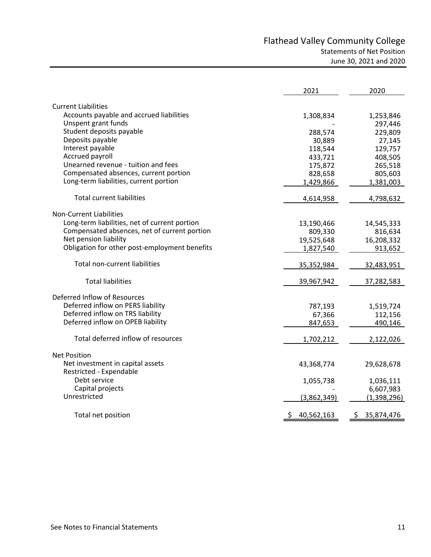# Flathead Valley Community College Statements of Net Position June 30, 2021 and 2020

|                                               | 2021             | 2020                 |
|-----------------------------------------------|------------------|----------------------|
| <b>Current Liabilities</b>                    |                  |                      |
| Accounts payable and accrued liabilities      | 1,308,834        | 1,253,846            |
| Unspent grant funds                           |                  | 297,446              |
| Student deposits payable                      | 288,574          | 229,809              |
| Deposits payable                              | 30,889           | 27,145               |
| Interest payable                              | 118,544          | 129,757              |
| Accrued payroll                               | 433,721          | 408,505              |
| Unearned revenue - tuition and fees           | 175,872          | 265,518              |
| Compensated absences, current portion         | 828,658          | 805,603              |
| Long-term liabilities, current portion        | 1,429,866        | 1,381,003            |
| <b>Total current liabilities</b>              | 4,614,958        | 4,798,632            |
| <b>Non-Current Liabilities</b>                |                  |                      |
| Long-term liabilities, net of current portion | 13,190,466       | 14,545,333           |
| Compensated absences, net of current portion  | 809,330          | 816,634              |
| Net pension liability                         | 19,525,648       | 16,208,332           |
| Obligation for other post-employment benefits | 1,827,540        | 913,652              |
| <b>Total non-current liabilities</b>          | 35,352,984       | 32,483,951           |
| <b>Total liabilities</b>                      | 39,967,942       | 37,282,583           |
| Deferred Inflow of Resources                  |                  |                      |
| Deferred inflow on PERS liability             | 787,193          |                      |
| Deferred inflow on TRS liability              | 67,366           | 1,519,724<br>112,156 |
| Deferred inflow on OPEB liability             | 847,653          | 490,146              |
|                                               |                  |                      |
| Total deferred inflow of resources            | 1,702,212        | 2,122,026            |
| <b>Net Position</b>                           |                  |                      |
| Net investment in capital assets              | 43,368,774       | 29,628,678           |
| Restricted - Expendable                       |                  |                      |
| Debt service                                  | 1,055,738        | 1,036,111            |
| Capital projects                              |                  | 6,607,983            |
| Unrestricted                                  | (3,862,349)      | (1, 398, 296)        |
| Total net position                            | 40,562,163<br>\$ | 35,874,476<br>\$.    |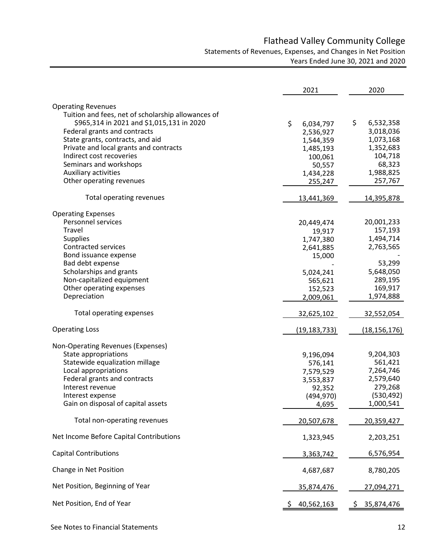# Flathead Valley Community College

# Statements of Revenues, Expenses, and Changes in Net Position

Years Ended June 30, 2021 and 2020

|                                                                                 | 2021              | 2020            |
|---------------------------------------------------------------------------------|-------------------|-----------------|
|                                                                                 |                   |                 |
| <b>Operating Revenues</b><br>Tuition and fees, net of scholarship allowances of |                   |                 |
| \$965,314 in 2021 and \$1,015,131 in 2020                                       | \$<br>6,034,797   | \$<br>6,532,358 |
| Federal grants and contracts                                                    | 2,536,927         | 3,018,036       |
| State grants, contracts, and aid                                                | 1,544,359         | 1,073,168       |
| Private and local grants and contracts                                          | 1,485,193         | 1,352,683       |
| Indirect cost recoveries                                                        | 100,061           | 104,718         |
| Seminars and workshops                                                          | 50,557            | 68,323          |
| Auxiliary activities                                                            | 1,434,228         | 1,988,825       |
| Other operating revenues                                                        | 255,247           | 257,767         |
| Total operating revenues                                                        | <u>13,441,369</u> | 14,395,878      |
| <b>Operating Expenses</b>                                                       |                   |                 |
| <b>Personnel services</b>                                                       | 20,449,474        | 20,001,233      |
| Travel                                                                          | 19,917            | 157,193         |
| <b>Supplies</b>                                                                 | 1,747,380         | 1,494,714       |
| Contracted services                                                             | 2,641,885         | 2,763,565       |
| Bond issuance expense                                                           | 15,000            |                 |
| Bad debt expense                                                                |                   | 53,299          |
| Scholarships and grants                                                         | 5,024,241         | 5,648,050       |
| Non-capitalized equipment                                                       | 565,621           | 289,195         |
| Other operating expenses                                                        | 152,523           | 169,917         |
| Depreciation                                                                    | 2,009,061         | 1,974,888       |
| Total operating expenses                                                        | 32,625,102        | 32,552,054      |
| <b>Operating Loss</b>                                                           | (19, 183, 733)    | (18, 156, 176)  |
| Non-Operating Revenues (Expenses)                                               |                   |                 |
| State appropriations                                                            | 9,196,094         | 9,204,303       |
| Statewide equalization millage                                                  | 576,141           | 561,421         |
| Local appropriations                                                            | 7,579,529         | 7,264,746       |
| Federal grants and contracts                                                    | 3,553,837         | 2,579,640       |
| Interest revenue                                                                | 92,352            | 279,268         |
| Interest expense                                                                | (494, 970)        | (530, 492)      |
| Gain on disposal of capital assets                                              | 4,695             | 1,000,541       |
| Total non-operating revenues                                                    | 20,507,678        | 20,359,427      |
| Net Income Before Capital Contributions                                         | 1,323,945         | 2,203,251       |
| <b>Capital Contributions</b>                                                    | 3,363,742         | 6,576,954       |
| Change in Net Position                                                          | 4,687,687         | 8,780,205       |
| Net Position, Beginning of Year                                                 | 35,874,476        | 27,094,271      |
| Net Position, End of Year                                                       | 40,562,163        | 35,874,476      |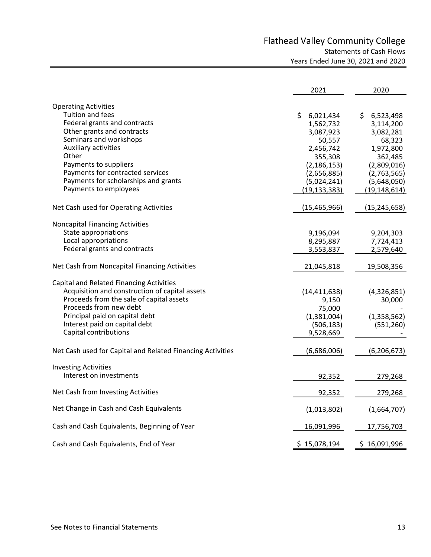# Flathead Valley Community College Statements of Cash Flows Years Ended June 30, 2021 and 2020

|                                                                                                                                                                                                                                                                                                                                                                                                                                                | 2021                                                                                                                                         | 2020                                                                                                                                   |
|------------------------------------------------------------------------------------------------------------------------------------------------------------------------------------------------------------------------------------------------------------------------------------------------------------------------------------------------------------------------------------------------------------------------------------------------|----------------------------------------------------------------------------------------------------------------------------------------------|----------------------------------------------------------------------------------------------------------------------------------------|
| <b>Operating Activities</b><br>Tuition and fees<br>Federal grants and contracts<br>Other grants and contracts<br>Seminars and workshops<br>Auxiliary activities<br>Other<br>Payments to suppliers<br>Payments for contracted services<br>Payments for scholarships and grants<br>Payments to employees                                                                                                                                         | \$<br>6,021,434<br>1,562,732<br>3,087,923<br>50,557<br>2,456,742<br>355,308<br>(2, 186, 153)<br>(2,656,885)<br>(5,024,241)<br>(19, 133, 383) | \$6,523,498<br>3,114,200<br>3,082,281<br>68,323<br>1,972,800<br>362,485<br>(2,809,016)<br>(2,763,565)<br>(5,648,050)<br>(19, 148, 614) |
| Net Cash used for Operating Activities                                                                                                                                                                                                                                                                                                                                                                                                         | (15, 465, 966)                                                                                                                               | (15, 245, 658)                                                                                                                         |
| <b>Noncapital Financing Activities</b><br>State appropriations<br>Local appropriations<br>Federal grants and contracts<br>Net Cash from Noncapital Financing Activities<br><b>Capital and Related Financing Activities</b><br>Acquisition and construction of capital assets<br>Proceeds from the sale of capital assets<br>Proceeds from new debt<br>Principal paid on capital debt<br>Interest paid on capital debt<br>Capital contributions | 9,196,094<br>8,295,887<br>3,553,837<br>21,045,818<br>(14, 411, 638)<br>9,150<br>75,000<br>(1,381,004)<br>(506, 183)<br>9,528,669             | 9,204,303<br>7,724,413<br>2,579,640<br>19,508,356<br>(4,326,851)<br>30,000<br>(1,358,562)<br>(551, 260)                                |
| Net Cash used for Capital and Related Financing Activities                                                                                                                                                                                                                                                                                                                                                                                     | (6,686,006)                                                                                                                                  | (6, 206, 673)                                                                                                                          |
| <b>Investing Activities</b><br>Interest on investments                                                                                                                                                                                                                                                                                                                                                                                         | 92,352                                                                                                                                       | 279,268                                                                                                                                |
| Net Cash from Investing Activities                                                                                                                                                                                                                                                                                                                                                                                                             | 92,352                                                                                                                                       | 279,268                                                                                                                                |
| Net Change in Cash and Cash Equivalents                                                                                                                                                                                                                                                                                                                                                                                                        | (1,013,802)                                                                                                                                  | (1,664,707)                                                                                                                            |
| Cash and Cash Equivalents, Beginning of Year                                                                                                                                                                                                                                                                                                                                                                                                   | 16,091,996                                                                                                                                   | 17,756,703                                                                                                                             |
| Cash and Cash Equivalents, End of Year                                                                                                                                                                                                                                                                                                                                                                                                         | \$15,078,194                                                                                                                                 | \$16,091,996                                                                                                                           |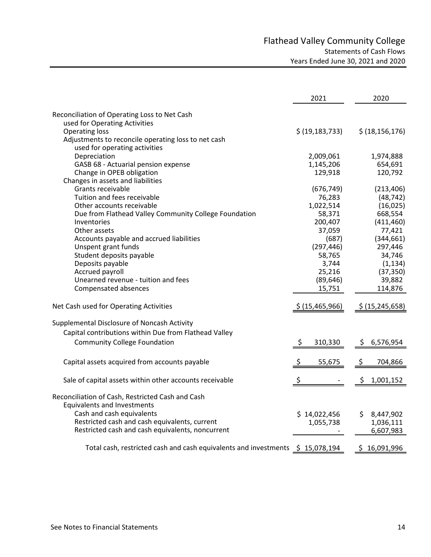# Flathead Valley Community College Statements of Cash Flows Years Ended June 30, 2021 and 2020

|                                                                                        | 2021              | 2020              |
|----------------------------------------------------------------------------------------|-------------------|-------------------|
| Reconciliation of Operating Loss to Net Cash                                           |                   |                   |
| used for Operating Activities                                                          |                   |                   |
| <b>Operating loss</b>                                                                  | \$ (19, 183, 733) | \$ (18, 156, 176) |
| Adjustments to reconcile operating loss to net cash                                    |                   |                   |
| used for operating activities                                                          |                   |                   |
| Depreciation                                                                           | 2,009,061         | 1,974,888         |
| GASB 68 - Actuarial pension expense                                                    | 1,145,206         | 654,691           |
| Change in OPEB obligation                                                              | 129,918           | 120,792           |
| Changes in assets and liabilities                                                      |                   |                   |
| Grants receivable                                                                      | (676, 749)        | (213, 406)        |
| Tuition and fees receivable                                                            | 76,283            | (48, 742)         |
| Other accounts receivable                                                              | 1,022,514         | (16,025)          |
| Due from Flathead Valley Community College Foundation                                  | 58,371            | 668,554           |
| Inventories                                                                            | 200,407           | (411, 460)        |
| Other assets                                                                           | 37,059            | 77,421            |
| Accounts payable and accrued liabilities                                               | (687)             | (344, 661)        |
| Unspent grant funds                                                                    | (297, 446)        | 297,446           |
| Student deposits payable                                                               | 58,765            | 34,746            |
| Deposits payable                                                                       | 3,744             | (1, 134)          |
| Accrued payroll                                                                        | 25,216            | (37, 350)         |
| Unearned revenue - tuition and fees                                                    | (89, 646)         | 39,882            |
| Compensated absences                                                                   | 15,751            | 114,876           |
| Net Cash used for Operating Activities                                                 | \$ (15, 465, 966) | \$ (15, 245, 658) |
| Supplemental Disclosure of Noncash Activity                                            |                   |                   |
| Capital contributions within Due from Flathead Valley                                  |                   |                   |
|                                                                                        |                   |                   |
| <b>Community College Foundation</b>                                                    | \$<br>310,330     | 6,576,954<br>\$   |
| Capital assets acquired from accounts payable                                          | 55,675<br>\$      | 704,866           |
| Sale of capital assets within other accounts receivable                                | $\frac{1}{2}$     | \$<br>1,001,152   |
|                                                                                        |                   |                   |
| Reconciliation of Cash, Restricted Cash and Cash<br><b>Equivalents and Investments</b> |                   |                   |
| Cash and cash equivalents                                                              |                   |                   |
| Restricted cash and cash equivalents, current                                          | \$14,022,456      | 8,447,902<br>\$   |
| Restricted cash and cash equivalents, noncurrent                                       | 1,055,738         | 1,036,111         |
|                                                                                        |                   | 6,607,983         |
| Total cash, restricted cash and cash equivalents and investments \$ 15,078,194         |                   | \$16,091,996      |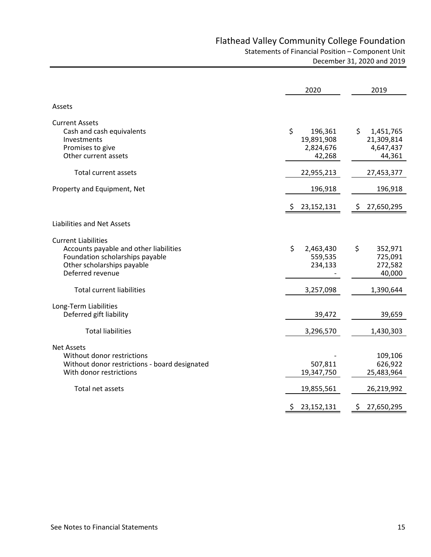| December 31, 2020 and 2019 |  |  |  |  |
|----------------------------|--|--|--|--|
|----------------------------|--|--|--|--|

|                                                                                                                                                           | 2020                                               | 2019                                                 |
|-----------------------------------------------------------------------------------------------------------------------------------------------------------|----------------------------------------------------|------------------------------------------------------|
| Assets                                                                                                                                                    |                                                    |                                                      |
| <b>Current Assets</b><br>Cash and cash equivalents<br>Investments<br>Promises to give<br>Other current assets                                             | \$<br>196,361<br>19,891,908<br>2,824,676<br>42,268 | \$<br>1,451,765<br>21,309,814<br>4,647,437<br>44,361 |
| Total current assets                                                                                                                                      | 22,955,213                                         | 27,453,377                                           |
| Property and Equipment, Net                                                                                                                               | 196,918                                            | 196,918                                              |
|                                                                                                                                                           | 23, 152, 131<br>\$.                                | 27,650,295<br>\$.                                    |
| Liabilities and Net Assets                                                                                                                                |                                                    |                                                      |
| <b>Current Liabilities</b><br>Accounts payable and other liabilities<br>Foundation scholarships payable<br>Other scholarships payable<br>Deferred revenue | \$<br>2,463,430<br>559,535<br>234,133              | \$<br>352,971<br>725,091<br>272,582<br>40,000        |
| <b>Total current liabilities</b>                                                                                                                          | 3,257,098                                          | 1,390,644                                            |
| Long-Term Liabilities<br>Deferred gift liability<br><b>Total liabilities</b>                                                                              | 39,472<br>3,296,570                                | 39,659<br>1,430,303                                  |
| <b>Net Assets</b><br>Without donor restrictions<br>Without donor restrictions - board designated<br>With donor restrictions                               | 507,811<br>19,347,750                              | 109,106<br>626,922<br>25,483,964                     |
| Total net assets                                                                                                                                          | 19,855,561                                         | 26,219,992                                           |
|                                                                                                                                                           | 23, 152, 131                                       | 27,650,295<br>\$                                     |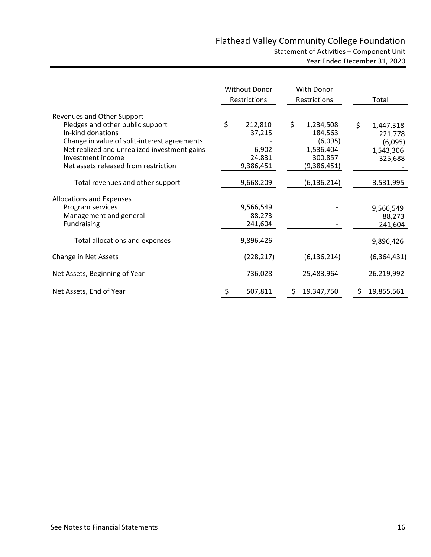# Flathead Valley Community College Foundation

# Statement of Activities – Component Unit

Year Ended December 31, 2020

|                                                                                                                                                                                                                                                  | <b>Without Donor</b><br>Restrictions |                                                   | With Donor<br>Restrictions |                                                                        |    |                                                         | Total |  |
|--------------------------------------------------------------------------------------------------------------------------------------------------------------------------------------------------------------------------------------------------|--------------------------------------|---------------------------------------------------|----------------------------|------------------------------------------------------------------------|----|---------------------------------------------------------|-------|--|
| Revenues and Other Support<br>Pledges and other public support<br>In-kind donations<br>Change in value of split-interest agreements<br>Net realized and unrealized investment gains<br>Investment income<br>Net assets released from restriction | \$                                   | 212,810<br>37,215<br>6,902<br>24,831<br>9,386,451 | \$                         | 1,234,508<br>184,563<br>(6,095)<br>1,536,404<br>300,857<br>(9,386,451) | \$ | 1,447,318<br>221,778<br>(6,095)<br>1,543,306<br>325,688 |       |  |
| Total revenues and other support                                                                                                                                                                                                                 |                                      | 9,668,209                                         |                            | (6, 136, 214)                                                          |    | 3,531,995                                               |       |  |
| Allocations and Expenses<br>Program services<br>Management and general<br>Fundraising                                                                                                                                                            |                                      | 9,566,549<br>88,273<br>241,604                    |                            |                                                                        |    | 9,566,549<br>88,273<br>241,604                          |       |  |
| Total allocations and expenses                                                                                                                                                                                                                   |                                      | 9,896,426                                         |                            |                                                                        |    | 9,896,426                                               |       |  |
| Change in Net Assets                                                                                                                                                                                                                             |                                      | (228, 217)                                        |                            | (6, 136, 214)                                                          |    | (6, 364, 431)                                           |       |  |
| Net Assets, Beginning of Year                                                                                                                                                                                                                    |                                      | 736,028                                           |                            | 25,483,964                                                             |    | 26,219,992                                              |       |  |
| Net Assets, End of Year                                                                                                                                                                                                                          | Ş                                    | 507,811                                           | Ş                          | 19,347,750                                                             | S  | 19,855,561                                              |       |  |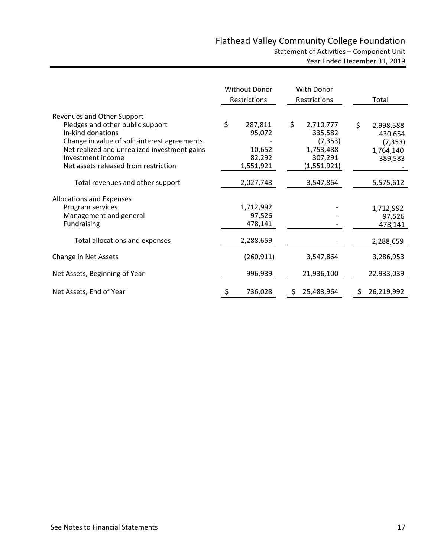# Flathead Valley Community College Foundation Statement of Activities – Component Unit

# Year Ended December 31, 2019

|                                              | <b>Without Donor</b> | With Donor      |                 |
|----------------------------------------------|----------------------|-----------------|-----------------|
|                                              | Restrictions         | Restrictions    | Total           |
|                                              |                      |                 |                 |
| Revenues and Other Support                   |                      |                 |                 |
| Pledges and other public support             | \$<br>287,811        | \$<br>2,710,777 | \$<br>2,998,588 |
| In-kind donations                            | 95,072               | 335,582         | 430,654         |
| Change in value of split-interest agreements |                      | (7, 353)        | (7, 353)        |
| Net realized and unrealized investment gains | 10,652               | 1,753,488       | 1,764,140       |
| Investment income                            | 82,292               | 307,291         | 389,583         |
| Net assets released from restriction         | 1,551,921            | (1,551,921)     |                 |
|                                              |                      |                 |                 |
| Total revenues and other support             | 2,027,748            | 3,547,864       | 5,575,612       |
|                                              |                      |                 |                 |
| Allocations and Expenses                     |                      |                 |                 |
| Program services                             | 1,712,992            |                 | 1,712,992       |
| Management and general                       | 97,526               |                 | 97,526          |
| Fundraising                                  | 478,141              |                 | 478,141         |
|                                              |                      |                 |                 |
| Total allocations and expenses               | 2,288,659            |                 | 2,288,659       |
| Change in Net Assets                         | (260, 911)           | 3,547,864       | 3,286,953       |
|                                              |                      |                 |                 |
| Net Assets, Beginning of Year                | 996,939              | 21,936,100      | 22,933,039      |
|                                              |                      |                 |                 |
| Net Assets, End of Year                      | 736,028              | 25,483,964      | 26,219,992      |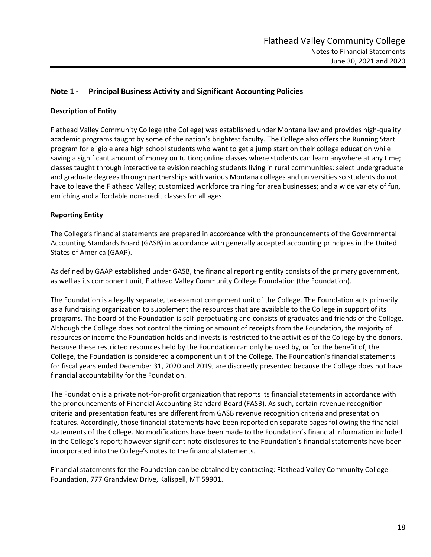## **Note 1 ‐ Principal Business Activity and Significant Accounting Policies**

#### **Description of Entity**

Flathead Valley Community College (the College) was established under Montana law and provides high‐quality academic programs taught by some of the nation's brightest faculty. The College also offers the Running Start program for eligible area high school students who want to get a jump start on their college education while saving a significant amount of money on tuition; online classes where students can learn anywhere at any time; classes taught through interactive television reaching students living in rural communities; select undergraduate and graduate degrees through partnerships with various Montana colleges and universities so students do not have to leave the Flathead Valley; customized workforce training for area businesses; and a wide variety of fun, enriching and affordable non‐credit classes for all ages.

#### **Reporting Entity**

The College's financial statements are prepared in accordance with the pronouncements of the Governmental Accounting Standards Board (GASB) in accordance with generally accepted accounting principles in the United States of America (GAAP).

As defined by GAAP established under GASB, the financial reporting entity consists of the primary government, as well as its component unit, Flathead Valley Community College Foundation (the Foundation).

The Foundation is a legally separate, tax‐exempt component unit of the College. The Foundation acts primarily as a fundraising organization to supplement the resources that are available to the College in support of its programs. The board of the Foundation is self‐perpetuating and consists of graduates and friends of the College. Although the College does not control the timing or amount of receipts from the Foundation, the majority of resources or income the Foundation holds and invests is restricted to the activities of the College by the donors. Because these restricted resources held by the Foundation can only be used by, or for the benefit of, the College, the Foundation is considered a component unit of the College. The Foundation's financial statements for fiscal years ended December 31, 2020 and 2019, are discreetly presented because the College does not have financial accountability for the Foundation.

The Foundation is a private not‐for‐profit organization that reports its financial statements in accordance with the pronouncements of Financial Accounting Standard Board (FASB). As such, certain revenue recognition criteria and presentation features are different from GASB revenue recognition criteria and presentation features. Accordingly, those financial statements have been reported on separate pages following the financial statements of the College. No modifications have been made to the Foundation's financial information included in the College's report; however significant note disclosures to the Foundation's financial statements have been incorporated into the College's notes to the financial statements.

Financial statements for the Foundation can be obtained by contacting: Flathead Valley Community College Foundation, 777 Grandview Drive, Kalispell, MT 59901.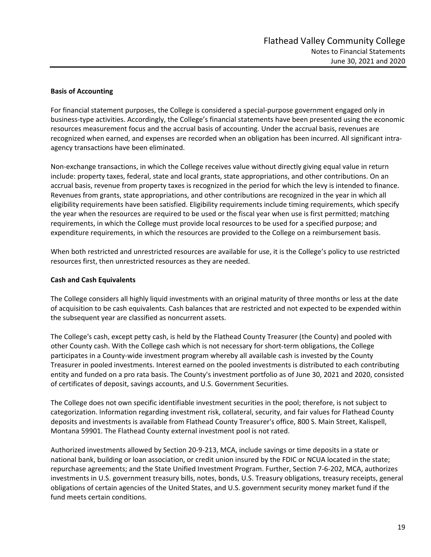## **Basis of Accounting**

For financial statement purposes, the College is considered a special‐purpose government engaged only in business‐type activities. Accordingly, the College's financial statements have been presented using the economic resources measurement focus and the accrual basis of accounting. Under the accrual basis, revenues are recognized when earned, and expenses are recorded when an obligation has been incurred. All significant intra‐ agency transactions have been eliminated.

Non-exchange transactions, in which the College receives value without directly giving equal value in return include: property taxes, federal, state and local grants, state appropriations, and other contributions. On an accrual basis, revenue from property taxes is recognized in the period for which the levy is intended to finance. Revenues from grants, state appropriations, and other contributions are recognized in the year in which all eligibility requirements have been satisfied. Eligibility requirements include timing requirements, which specify the year when the resources are required to be used or the fiscal year when use is first permitted; matching requirements, in which the College must provide local resources to be used for a specified purpose; and expenditure requirements, in which the resources are provided to the College on a reimbursement basis.

When both restricted and unrestricted resources are available for use, it is the College's policy to use restricted resources first, then unrestricted resources as they are needed.

#### **Cash and Cash Equivalents**

The College considers all highly liquid investments with an original maturity of three months or less at the date of acquisition to be cash equivalents. Cash balances that are restricted and not expected to be expended within the subsequent year are classified as noncurrent assets.

The College's cash, except petty cash, is held by the Flathead County Treasurer (the County) and pooled with other County cash. With the College cash which is not necessary for short-term obligations, the College participates in a County-wide investment program whereby all available cash is invested by the County Treasurer in pooled investments. Interest earned on the pooled investments is distributed to each contributing entity and funded on a pro rata basis. The County's investment portfolio as of June 30, 2021 and 2020, consisted of certificates of deposit, savings accounts, and U.S. Government Securities.

The College does not own specific identifiable investment securities in the pool; therefore, is not subject to categorization. Information regarding investment risk, collateral, security, and fair values for Flathead County deposits and investments is available from Flathead County Treasurer's office, 800 S. Main Street, Kalispell, Montana 59901. The Flathead County external investment pool is not rated.

Authorized investments allowed by Section 20‐9‐213, MCA, include savings or time deposits in a state or national bank, building or loan association, or credit union insured by the FDIC or NCUA located in the state; repurchase agreements; and the State Unified Investment Program. Further, Section 7‐6‐202, MCA, authorizes investments in U.S. government treasury bills, notes, bonds, U.S. Treasury obligations, treasury receipts, general obligations of certain agencies of the United States, and U.S. government security money market fund if the fund meets certain conditions.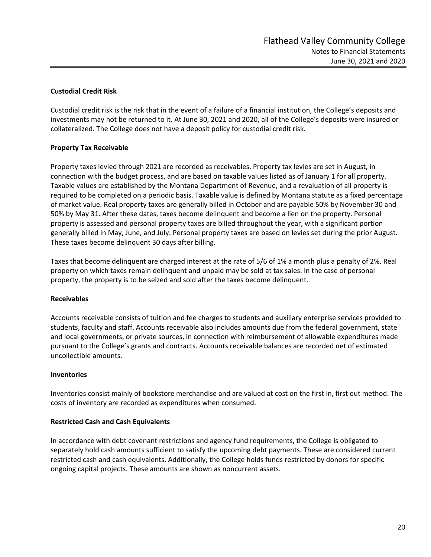## **Custodial Credit Risk**

Custodial credit risk is the risk that in the event of a failure of a financial institution, the College's deposits and investments may not be returned to it. At June 30, 2021 and 2020, all of the College's deposits were insured or collateralized. The College does not have a deposit policy for custodial credit risk.

## **Property Tax Receivable**

Property taxes levied through 2021 are recorded as receivables. Property tax levies are set in August, in connection with the budget process, and are based on taxable values listed as of January 1 for all property. Taxable values are established by the Montana Department of Revenue, and a revaluation of all property is required to be completed on a periodic basis. Taxable value is defined by Montana statute as a fixed percentage of market value. Real property taxes are generally billed in October and are payable 50% by November 30 and 50% by May 31. After these dates, taxes become delinquent and become a lien on the property. Personal property is assessed and personal property taxes are billed throughout the year, with a significant portion generally billed in May, June, and July. Personal property taxes are based on levies set during the prior August. These taxes become delinquent 30 days after billing.

Taxes that become delinquent are charged interest at the rate of 5/6 of 1% a month plus a penalty of 2%. Real property on which taxes remain delinquent and unpaid may be sold at tax sales. In the case of personal property, the property is to be seized and sold after the taxes become delinquent.

#### **Receivables**

Accounts receivable consists of tuition and fee charges to students and auxiliary enterprise services provided to students, faculty and staff. Accounts receivable also includes amounts due from the federal government, state and local governments, or private sources, in connection with reimbursement of allowable expenditures made pursuant to the College's grants and contracts. Accounts receivable balances are recorded net of estimated uncollectible amounts.

#### **Inventories**

Inventories consist mainly of bookstore merchandise and are valued at cost on the first in, first out method. The costs of inventory are recorded as expenditures when consumed.

#### **Restricted Cash and Cash Equivalents**

In accordance with debt covenant restrictions and agency fund requirements, the College is obligated to separately hold cash amounts sufficient to satisfy the upcoming debt payments. These are considered current restricted cash and cash equivalents. Additionally, the College holds funds restricted by donors for specific ongoing capital projects. These amounts are shown as noncurrent assets.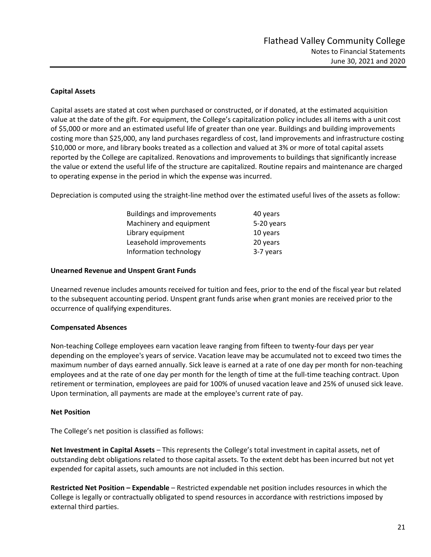#### **Capital Assets**

Capital assets are stated at cost when purchased or constructed, or if donated, at the estimated acquisition value at the date of the gift. For equipment, the College's capitalization policy includes all items with a unit cost of \$5,000 or more and an estimated useful life of greater than one year. Buildings and building improvements costing more than \$25,000, any land purchases regardless of cost, land improvements and infrastructure costing \$10,000 or more, and library books treated as a collection and valued at 3% or more of total capital assets reported by the College are capitalized. Renovations and improvements to buildings that significantly increase the value or extend the useful life of the structure are capitalized. Routine repairs and maintenance are charged to operating expense in the period in which the expense was incurred.

Depreciation is computed using the straight‐line method over the estimated useful lives of the assets as follow:

|                         | <b>Buildings and improvements</b> | 40 years   |
|-------------------------|-----------------------------------|------------|
| Machinery and equipment |                                   | 5-20 years |
| Library equipment       |                                   | 10 years   |
| Leasehold improvements  |                                   | 20 years   |
| Information technology  |                                   | 3-7 years  |

#### **Unearned Revenue and Unspent Grant Funds**

Unearned revenue includes amounts received for tuition and fees, prior to the end of the fiscal year but related to the subsequent accounting period. Unspent grant funds arise when grant monies are received prior to the occurrence of qualifying expenditures.

#### **Compensated Absences**

Non‐teaching College employees earn vacation leave ranging from fifteen to twenty‐four days per year depending on the employee's years of service. Vacation leave may be accumulated not to exceed two times the maximum number of days earned annually. Sick leave is earned at a rate of one day per month for non-teaching employees and at the rate of one day per month for the length of time at the full-time teaching contract. Upon retirement or termination, employees are paid for 100% of unused vacation leave and 25% of unused sick leave. Upon termination, all payments are made at the employee's current rate of pay.

#### **Net Position**

The College's net position is classified as follows:

**Net Investment in Capital Assets** – This represents the College's total investment in capital assets, net of outstanding debt obligations related to those capital assets. To the extent debt has been incurred but not yet expended for capital assets, such amounts are not included in this section.

**Restricted Net Position – Expendable** – Restricted expendable net position includes resources in which the College is legally or contractually obligated to spend resources in accordance with restrictions imposed by external third parties.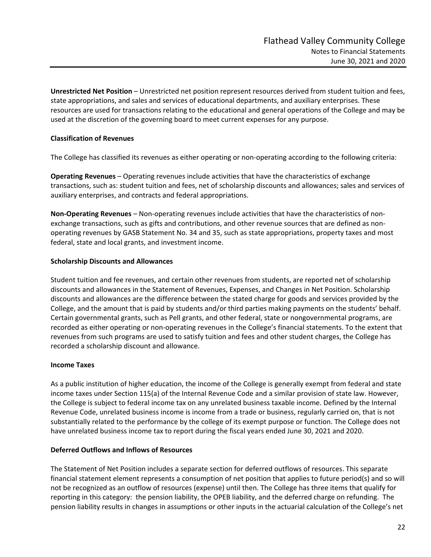**Unrestricted Net Position** – Unrestricted net position represent resources derived from student tuition and fees, state appropriations, and sales and services of educational departments, and auxiliary enterprises. These resources are used for transactions relating to the educational and general operations of the College and may be used at the discretion of the governing board to meet current expenses for any purpose.

## **Classification of Revenues**

The College has classified its revenues as either operating or non‐operating according to the following criteria:

**Operating Revenues** – Operating revenues include activities that have the characteristics of exchange transactions, such as: student tuition and fees, net of scholarship discounts and allowances; sales and services of auxiliary enterprises, and contracts and federal appropriations.

**Non‐Operating Revenues** – Non‐operating revenues include activities that have the characteristics of non‐ exchange transactions, such as gifts and contributions, and other revenue sources that are defined as non‐ operating revenues by GASB Statement No. 34 and 35, such as state appropriations, property taxes and most federal, state and local grants, and investment income.

#### **Scholarship Discounts and Allowances**

Student tuition and fee revenues, and certain other revenues from students, are reported net of scholarship discounts and allowances in the Statement of Revenues, Expenses, and Changes in Net Position. Scholarship discounts and allowances are the difference between the stated charge for goods and services provided by the College, and the amount that is paid by students and/or third parties making payments on the students' behalf. Certain governmental grants, such as Pell grants, and other federal, state or nongovernmental programs, are recorded as either operating or non‐operating revenues in the College's financial statements. To the extent that revenues from such programs are used to satisfy tuition and fees and other student charges, the College has recorded a scholarship discount and allowance.

#### **Income Taxes**

As a public institution of higher education, the income of the College is generally exempt from federal and state income taxes under Section 115(a) of the Internal Revenue Code and a similar provision of state law. However, the College is subject to federal income tax on any unrelated business taxable income. Defined by the Internal Revenue Code, unrelated business income is income from a trade or business, regularly carried on, that is not substantially related to the performance by the college of its exempt purpose or function. The College does not have unrelated business income tax to report during the fiscal years ended June 30, 2021 and 2020.

#### **Deferred Outflows and Inflows of Resources**

The Statement of Net Position includes a separate section for deferred outflows of resources. This separate financial statement element represents a consumption of net position that applies to future period(s) and so will not be recognized as an outflow of resources (expense) until then. The College has three items that qualify for reporting in this category: the pension liability, the OPEB liability, and the deferred charge on refunding. The pension liability results in changes in assumptions or other inputs in the actuarial calculation of the College's net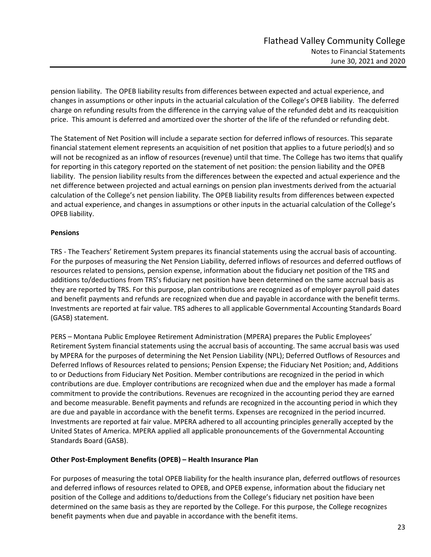pension liability. The OPEB liability results from differences between expected and actual experience, and changes in assumptions or other inputs in the actuarial calculation of the College's OPEB liability. The deferred charge on refunding results from the difference in the carrying value of the refunded debt and its reacquisition price. This amount is deferred and amortized over the shorter of the life of the refunded or refunding debt.

The Statement of Net Position will include a separate section for deferred inflows of resources. This separate financial statement element represents an acquisition of net position that applies to a future period(s) and so will not be recognized as an inflow of resources (revenue) until that time. The College has two items that qualify for reporting in this category reported on the statement of net position: the pension liability and the OPEB liability. The pension liability results from the differences between the expected and actual experience and the net difference between projected and actual earnings on pension plan investments derived from the actuarial calculation of the College's net pension liability. The OPEB liability results from differences between expected and actual experience, and changes in assumptions or other inputs in the actuarial calculation of the College's OPEB liability.

## **Pensions**

TRS ‐ The Teachers' Retirement System prepares its financial statements using the accrual basis of accounting. For the purposes of measuring the Net Pension Liability, deferred inflows of resources and deferred outflows of resources related to pensions, pension expense, information about the fiduciary net position of the TRS and additions to/deductions from TRS's fiduciary net position have been determined on the same accrual basis as they are reported by TRS. For this purpose, plan contributions are recognized as of employer payroll paid dates and benefit payments and refunds are recognized when due and payable in accordance with the benefit terms. Investments are reported at fair value. TRS adheres to all applicable Governmental Accounting Standards Board (GASB) statement.

PERS – Montana Public Employee Retirement Administration (MPERA) prepares the Public Employees' Retirement System financial statements using the accrual basis of accounting. The same accrual basis was used by MPERA for the purposes of determining the Net Pension Liability (NPL); Deferred Outflows of Resources and Deferred Inflows of Resources related to pensions; Pension Expense; the Fiduciary Net Position; and, Additions to or Deductions from Fiduciary Net Position. Member contributions are recognized in the period in which contributions are due. Employer contributions are recognized when due and the employer has made a formal commitment to provide the contributions. Revenues are recognized in the accounting period they are earned and become measurable. Benefit payments and refunds are recognized in the accounting period in which they are due and payable in accordance with the benefit terms. Expenses are recognized in the period incurred. Investments are reported at fair value. MPERA adhered to all accounting principles generally accepted by the United States of America. MPERA applied all applicable pronouncements of the Governmental Accounting Standards Board (GASB).

#### **Other Post‐Employment Benefits (OPEB) – Health Insurance Plan**

For purposes of measuring the total OPEB liability for the health insurance plan, deferred outflows of resources and deferred inflows of resources related to OPEB, and OPEB expense, information about the fiduciary net position of the College and additions to/deductions from the College's fiduciary net position have been determined on the same basis as they are reported by the College. For this purpose, the College recognizes benefit payments when due and payable in accordance with the benefit items.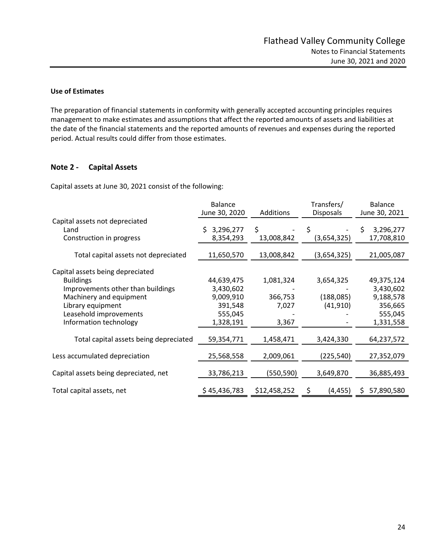#### **Use of Estimates**

The preparation of financial statements in conformity with generally accepted accounting principles requires management to make estimates and assumptions that affect the reported amounts of assets and liabilities at the date of the financial statements and the reported amounts of revenues and expenses during the reported period. Actual results could differ from those estimates.

#### **Note 2 ‐ Capital Assets**

Capital assets at June 30, 2021 consist of the following:

|                                        | <b>Balance</b><br>June 30, 2020 | Additions    | Transfers/<br><b>Disposals</b> | <b>Balance</b><br>June 30, 2021 |
|----------------------------------------|---------------------------------|--------------|--------------------------------|---------------------------------|
| Capital assets not depreciated         |                                 |              |                                |                                 |
| Land                                   | Ś.<br>3,296,277                 | \$           | \$                             | 3,296,277<br>S.                 |
| Construction in progress               | 8,354,293                       | 13,008,842   | (3,654,325)                    | 17,708,810                      |
| Total capital assets not depreciated   | 11,650,570                      | 13,008,842   | (3,654,325)                    | 21,005,087                      |
| Capital assets being depreciated       |                                 |              |                                |                                 |
| <b>Buildings</b>                       | 44,639,475                      | 1,081,324    | 3,654,325                      | 49,375,124                      |
| Improvements other than buildings      | 3,430,602                       |              |                                | 3,430,602                       |
| Machinery and equipment                | 9,009,910                       | 366,753      | (188, 085)                     | 9,188,578                       |
| Library equipment                      | 391,548<br>7,027                |              | (41, 910)                      | 356,665                         |
| Leasehold improvements                 | 555,045                         |              |                                | 555,045                         |
| Information technology                 | 1,328,191                       | 3,367        |                                | 1,331,558                       |
| Total capital assets being depreciated | 59,354,771                      | 1,458,471    | 3,424,330                      | 64,237,572                      |
|                                        |                                 |              |                                |                                 |
| Less accumulated depreciation          | 25,568,558                      | 2,009,061    | (225, 540)                     | 27,352,079                      |
| Capital assets being depreciated, net  | 33,786,213                      | (550,590)    | 3,649,870                      | 36,885,493                      |
| Total capital assets, net              | \$45,436,783                    | \$12,458,252 | (4, 455)<br>S                  | 57,890,580                      |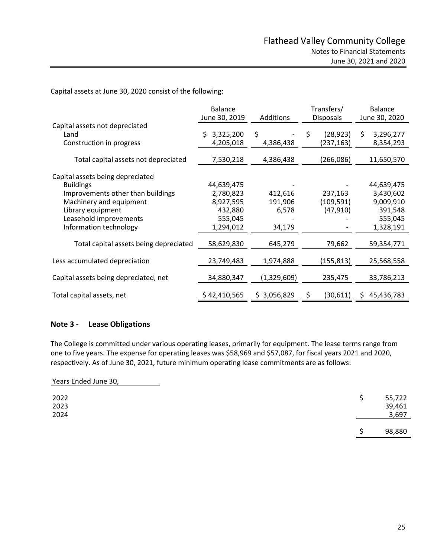Capital assets at June 30, 2020 consist of the following:

|                                        | <b>Balance</b><br>June 30, 2019 | Additions   | Transfers/<br><b>Disposals</b> | <b>Balance</b><br>June 30, 2020 |
|----------------------------------------|---------------------------------|-------------|--------------------------------|---------------------------------|
| Capital assets not depreciated         |                                 |             |                                |                                 |
| Land                                   | Ś.<br>3,325,200                 | \$          | \$<br>(28, 923)                | 3,296,277<br>S                  |
| Construction in progress               | 4,205,018                       | 4,386,438   | (237, 163)                     | 8,354,293                       |
| Total capital assets not depreciated   | 7,530,218                       | 4,386,438   | (266, 086)                     | 11,650,570                      |
| Capital assets being depreciated       |                                 |             |                                |                                 |
| <b>Buildings</b>                       | 44,639,475                      |             |                                | 44,639,475                      |
| Improvements other than buildings      | 2,780,823                       | 412,616     | 237,163                        | 3,430,602                       |
| Machinery and equipment                | 8,927,595                       | 191,906     | (109, 591)                     | 9,009,910                       |
| Library equipment                      | 432,880                         | 6,578       | (47, 910)                      | 391,548                         |
| Leasehold improvements                 | 555,045                         |             |                                | 555,045                         |
| Information technology                 | 1,294,012                       | 34,179      |                                | 1,328,191                       |
| Total capital assets being depreciated | 58,629,830                      | 645,279     | 79,662                         | 59,354,771                      |
| Less accumulated depreciation          | 23,749,483                      | 1,974,888   | (155, 813)                     | 25,568,558                      |
| Capital assets being depreciated, net  | 34,880,347                      | (1,329,609) | 235,475                        | 33,786,213                      |
| Total capital assets, net              | \$42,410,565                    | \$3,056,829 | \$<br>(30,611)                 | 45,436,783<br>S                 |

## **Note 3 ‐ Lease Obligations**

The College is committed under various operating leases, primarily for equipment. The lease terms range from one to five years. The expense for operating leases was \$58,969 and \$57,087, for fiscal years 2021 and 2020, respectively. As of June 30, 2021, future minimum operating lease commitments are as follows:

| Years Ended June 30, |   |        |
|----------------------|---|--------|
| 2022                 | c | 55,722 |
| 2023                 |   | 39,461 |
| 2024                 |   | 3,697  |
|                      |   | 98,880 |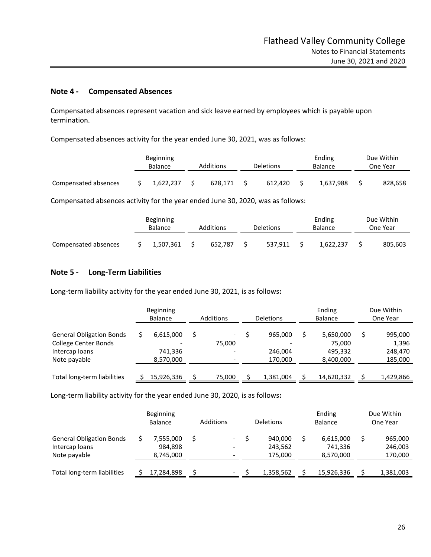#### **Note 4 ‐ Compensated Absences**

Compensated absences represent vacation and sick leave earned by employees which is payable upon termination.

Compensated absences activity for the year ended June 30, 2021, was as follows:

|                      | <b>Beginning</b><br><b>Additions</b> |  |         |  |           | Ending         | Due Within |          |  |
|----------------------|--------------------------------------|--|---------|--|-----------|----------------|------------|----------|--|
|                      | <b>Balance</b>                       |  |         |  | Deletions | <b>Balance</b> |            | One Year |  |
| Compensated absences | 1.622.237                            |  | 628.171 |  | 612.420   | 1,637,988      |            | 828,658  |  |

Compensated absences activity for the year ended June 30, 2020, was as follows:

|                      | Beginning<br><b>Additions</b><br><b>Balance</b> |           |  |         | <b>Deletions</b> | Ending<br><b>Balance</b> | Due Within<br>One Year |         |  |
|----------------------|-------------------------------------------------|-----------|--|---------|------------------|--------------------------|------------------------|---------|--|
| Compensated absences |                                                 | 1.507.361 |  | 652.787 | 537.911          | 1.622.237                |                        | 805,603 |  |

#### **Note 5 ‐ Long‐Term Liabilities**

Long‐term liability activity for the year ended June 30, 2021, is as follows**:**

|                                                                                           |  | <b>Beginning</b><br>Balance       |  | Additions     |  | <b>Deletions</b>                   |  | Ending<br><b>Balance</b>                    | Due Within<br>One Year |                                        |  |
|-------------------------------------------------------------------------------------------|--|-----------------------------------|--|---------------|--|------------------------------------|--|---------------------------------------------|------------------------|----------------------------------------|--|
| <b>General Obligation Bonds</b><br>College Center Bonds<br>Intercap loans<br>Note payable |  | 6,615,000<br>741,336<br>8,570,000 |  | $-$<br>75,000 |  | 965.000<br>-<br>246.004<br>170,000 |  | 5,650,000<br>75,000<br>495,332<br>8,400,000 | Ś                      | 995,000<br>1,396<br>248,470<br>185,000 |  |
| Total long-term liabilities                                                               |  | 15,926,336                        |  | 75.000        |  | 1,381,004                          |  | 14,620,332                                  |                        | 1,429,866                              |  |

Long‐term liability activity for the year ended June 30, 2020, is as follows**:**

|                                                                   |  | <b>Beginning</b><br><b>Balance</b> |  | Additions |  | <b>Deletions</b>              | Ending<br><b>Balance</b>          | Due Within<br>One Year |                               |  |
|-------------------------------------------------------------------|--|------------------------------------|--|-----------|--|-------------------------------|-----------------------------------|------------------------|-------------------------------|--|
| <b>General Obligation Bonds</b><br>Intercap loans<br>Note payable |  | 7,555,000<br>984,898<br>8,745,000  |  |           |  | 940.000<br>243,562<br>175,000 | 6,615,000<br>741,336<br>8,570,000 |                        | 965,000<br>246,003<br>170,000 |  |
| Total long-term liabilities                                       |  | 17,284,898                         |  |           |  | 1,358,562                     | 15,926,336                        |                        | 1,381,003                     |  |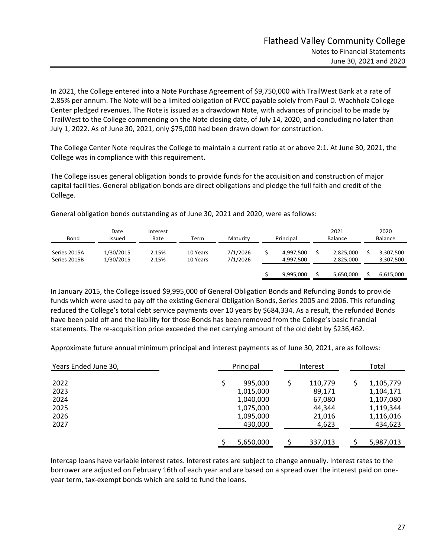In 2021, the College entered into a Note Purchase Agreement of \$9,750,000 with TrailWest Bank at a rate of 2.85% per annum. The Note will be a limited obligation of FVCC payable solely from Paul D. Wachholz College Center pledged revenues. The Note is issued as a drawdown Note, with advances of principal to be made by TrailWest to the College commencing on the Note closing date, of July 14, 2020, and concluding no later than July 1, 2022. As of June 30, 2021, only \$75,000 had been drawn down for construction.

The College Center Note requires the College to maintain a current ratio at or above 2:1. At June 30, 2021, the College was in compliance with this requirement.

The College issues general obligation bonds to provide funds for the acquisition and construction of major capital facilities. General obligation bonds are direct obligations and pledge the full faith and credit of the College.

| Bond                         | Date<br>Issued         | Interest<br>Rate | Term                 | Maturity             |  | Principal              |                        | 2021<br>Balance        | 2020<br>Balance |
|------------------------------|------------------------|------------------|----------------------|----------------------|--|------------------------|------------------------|------------------------|-----------------|
| Series 2015A<br>Series 2015B | 1/30/2015<br>1/30/2015 | 2.15%<br>2.15%   | 10 Years<br>10 Years | 7/1/2026<br>7/1/2026 |  | 4.997.500<br>4,997,500 | 2,825,000<br>2,825,000 | 3,307,500<br>3,307,500 |                 |
|                              |                        |                  |                      |                      |  | 9,995,000              | 5,650,000              | 6,615,000              |                 |

General obligation bonds outstanding as of June 30, 2021 and 2020, were as follows:

In January 2015, the College issued \$9,995,000 of General Obligation Bonds and Refunding Bonds to provide funds which were used to pay off the existing General Obligation Bonds, Series 2005 and 2006. This refunding reduced the College's total debt service payments over 10 years by \$684,334. As a result, the refunded Bonds have been paid off and the liability for those Bonds has been removed from the College's basic financial statements. The re-acquisition price exceeded the net carrying amount of the old debt by \$236,462.

Approximate future annual minimum principal and interest payments as of June 30, 2021, are as follows:

| Years Ended June 30, | Principal     | Interest      | Total           |  |  |
|----------------------|---------------|---------------|-----------------|--|--|
| 2022                 | \$<br>995,000 | \$<br>110,779 | \$<br>1,105,779 |  |  |
| 2023                 | 1,015,000     | 89,171        | 1,104,171       |  |  |
| 2024                 | 1,040,000     | 67,080        | 1,107,080       |  |  |
| 2025                 | 1,075,000     | 44,344        | 1,119,344       |  |  |
| 2026                 | 1,095,000     | 21,016        | 1,116,016       |  |  |
| 2027                 | 430,000       | 4,623         | 434,623         |  |  |
|                      |               |               |                 |  |  |
|                      | 5,650,000     | 337,013       | 5,987,013       |  |  |

Intercap loans have variable interest rates. Interest rates are subject to change annually. Interest rates to the borrower are adjusted on February 16th of each year and are based on a spread over the interest paid on one‐ year term, tax‐exempt bonds which are sold to fund the loans.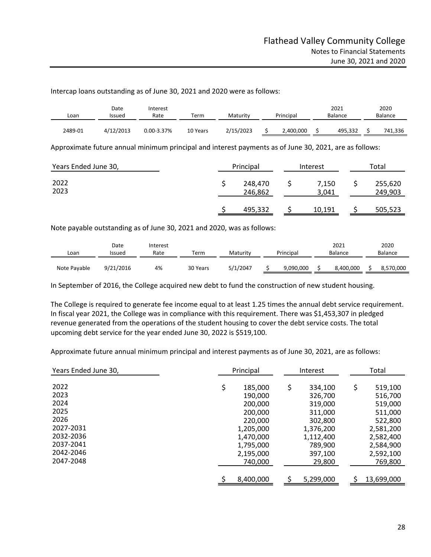Intercap loans outstanding as of June 30, 2021 and 2020 were as follows:

| Loan    | Date<br>Issued | Interest<br>Rate | Term<br>Maturity |           |  | Principal | 2021<br>Balance | 2020<br>Balance |  |  |
|---------|----------------|------------------|------------------|-----------|--|-----------|-----------------|-----------------|--|--|
| 2489-01 | 4/12/2013      | $0.00 - 3.37%$   | 10 Years         | 2/15/2023 |  | 2,400,000 | 495,332         | 741,336         |  |  |

Approximate future annual minimum principal and interest payments as of June 30, 2021, are as follows:

| Years Ended June 30, | Principal |                    |  | Interest       | Total              |
|----------------------|-----------|--------------------|--|----------------|--------------------|
| 2022<br>2023         |           | 248,470<br>246,862 |  | 7,150<br>3.041 | 255,620<br>249,903 |
|                      |           | 495,332            |  | 10,191         | 505,523            |

Note payable outstanding as of June 30, 2021 and 2020, was as follows:

| Loan         | Date<br>Issued | Interest<br>Rate | Term     | Maturity | Principal | 2021<br><b>Balance</b> | 2020<br><b>Balance</b> |
|--------------|----------------|------------------|----------|----------|-----------|------------------------|------------------------|
| Note Payable | 9/21/2016      | 4%               | 30 Years | 5/1/2047 | 9,090,000 | 8,400,000              | 8,570,000              |

In September of 2016, the College acquired new debt to fund the construction of new student housing.

The College is required to generate fee income equal to at least 1.25 times the annual debt service requirement. In fiscal year 2021, the College was in compliance with this requirement. There was \$1,453,307 in pledged revenue generated from the operations of the student housing to cover the debt service costs. The total upcoming debt service for the year ended June 30, 2022 is \$519,100.

Approximate future annual minimum principal and interest payments as of June 30, 2021, are as follows:

| Years Ended June 30,                              | Principal |                                                                  | Interest |                                                                  | Total                                                                  |
|---------------------------------------------------|-----------|------------------------------------------------------------------|----------|------------------------------------------------------------------|------------------------------------------------------------------------|
| 2022<br>2023<br>2024<br>2025<br>2026<br>2027-2031 | \$        | 185,000<br>190,000<br>200,000<br>200,000<br>220,000<br>1,205,000 | \$       | 334,100<br>326,700<br>319,000<br>311,000<br>302,800<br>1,376,200 | \$<br>519,100<br>516,700<br>519,000<br>511,000<br>522,800<br>2,581,200 |
| 2032-2036<br>2037-2041<br>2042-2046<br>2047-2048  |           | 1,470,000<br>1,795,000<br>2,195,000<br>740,000                   |          | 1,112,400<br>789,900<br>397,100<br>29,800                        | 2,582,400<br>2,584,900<br>2,592,100<br>769,800                         |
|                                                   |           | 8,400,000                                                        |          | 5,299,000                                                        | 13,699,000                                                             |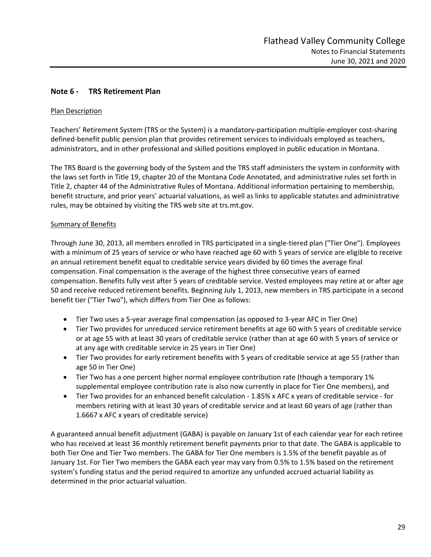## **Note 6 ‐ TRS Retirement Plan**

## Plan Description

Teachers' Retirement System (TRS or the System) is a mandatory‐participation multiple‐employer cost‐sharing defined‐benefit public pension plan that provides retirement services to individuals employed as teachers, administrators, and in other professional and skilled positions employed in public education in Montana.

The TRS Board is the governing body of the System and the TRS staff administers the system in conformity with the laws set forth in Title 19, chapter 20 of the Montana Code Annotated, and administrative rules set forth in Title 2, chapter 44 of the Administrative Rules of Montana. Additional information pertaining to membership, benefit structure, and prior years' actuarial valuations, as well as links to applicable statutes and administrative rules, may be obtained by visiting the TRS web site at trs.mt.gov.

## **Summary of Benefits**

Through June 30, 2013, all members enrolled in TRS participated in a single‐tiered plan ("Tier One"). Employees with a minimum of 25 years of service or who have reached age 60 with 5 years of service are eligible to receive an annual retirement benefit equal to creditable service years divided by 60 times the average final compensation. Final compensation is the average of the highest three consecutive years of earned compensation. Benefits fully vest after 5 years of creditable service. Vested employees may retire at or after age 50 and receive reduced retirement benefits. Beginning July 1, 2013, new members in TRS participate in a second benefit tier ("Tier Two"), which differs from Tier One as follows:

- Tier Two uses a 5‐year average final compensation (as opposed to 3‐year AFC in Tier One)
- Tier Two provides for unreduced service retirement benefits at age 60 with 5 years of creditable service or at age 55 with at least 30 years of creditable service (rather than at age 60 with 5 years of service or at any age with creditable service in 25 years in Tier One)
- Tier Two provides for early retirement benefits with 5 years of creditable service at age 55 (rather than age 50 in Tier One)
- Tier Two has a one percent higher normal employee contribution rate (though a temporary 1% supplemental employee contribution rate is also now currently in place for Tier One members), and
- Tier Two provides for an enhanced benefit calculation ‐ 1.85% x AFC x years of creditable service ‐ for members retiring with at least 30 years of creditable service and at least 60 years of age (rather than 1.6667 x AFC x years of creditable service)

A guaranteed annual benefit adjustment (GABA) is payable on January 1st of each calendar year for each retiree who has received at least 36 monthly retirement benefit payments prior to that date. The GABA is applicable to both Tier One and Tier Two members. The GABA for Tier One members is 1.5% of the benefit payable as of January 1st. For Tier Two members the GABA each year may vary from 0.5% to 1.5% based on the retirement system's funding status and the period required to amortize any unfunded accrued actuarial liability as determined in the prior actuarial valuation.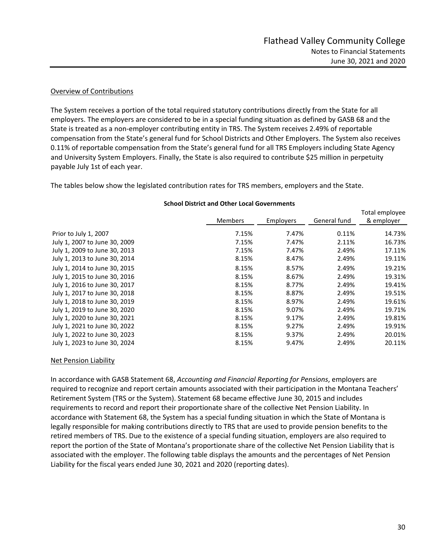Total employee

#### Overview of Contributions

The System receives a portion of the total required statutory contributions directly from the State for all employers. The employers are considered to be in a special funding situation as defined by GASB 68 and the State is treated as a non‐employer contributing entity in TRS. The System receives 2.49% of reportable compensation from the State's general fund for School Districts and Other Employers. The System also receives 0.11% of reportable compensation from the State's general fund for all TRS Employers including State Agency and University System Employers. Finally, the State is also required to contribute \$25 million in perpetuity payable July 1st of each year.

The tables below show the legislated contribution rates for TRS members, employers and the State.

| <b>Members</b> | <b>Employers</b> | General fund | TULGI CHIPIUYCE<br>& employer |
|----------------|------------------|--------------|-------------------------------|
| 7.15%          | 7.47%            | 0.11%        | 14.73%                        |
| 7.15%          | 7.47%            | 2.11%        | 16.73%                        |
| 7.15%          | 7.47%            | 2.49%        | 17.11%                        |
| 8.15%          | 8.47%            | 2.49%        | 19.11%                        |
| 8.15%          | 8.57%            | 2.49%        | 19.21%                        |
| 8.15%          | 8.67%            | 2.49%        | 19.31%                        |
| 8.15%          | 8.77%            | 2.49%        | 19.41%                        |
| 8.15%          | 8.87%            | 2.49%        | 19.51%                        |
| 8.15%          | 8.97%            | 2.49%        | 19.61%                        |
| 8.15%          | 9.07%            | 2.49%        | 19.71%                        |
| 8.15%          | 9.17%            | 2.49%        | 19.81%                        |
| 8.15%          | 9.27%            | 2.49%        | 19.91%                        |
| 8.15%          | 9.37%            | 2.49%        | 20.01%                        |
| 8.15%          | 9.47%            | 2.49%        | 20.11%                        |
|                |                  |              |                               |

#### **School District and Other Local Governments**

#### Net Pension Liability

In accordance with GASB Statement 68, *Accounting and Financial Reporting for Pensions*, employers are required to recognize and report certain amounts associated with their participation in the Montana Teachers' Retirement System (TRS or the System). Statement 68 became effective June 30, 2015 and includes requirements to record and report their proportionate share of the collective Net Pension Liability. In accordance with Statement 68, the System has a special funding situation in which the State of Montana is legally responsible for making contributions directly to TRS that are used to provide pension benefits to the retired members of TRS. Due to the existence of a special funding situation, employers are also required to report the portion of the State of Montana's proportionate share of the collective Net Pension Liability that is associated with the employer. The following table displays the amounts and the percentages of Net Pension Liability for the fiscal years ended June 30, 2021 and 2020 (reporting dates).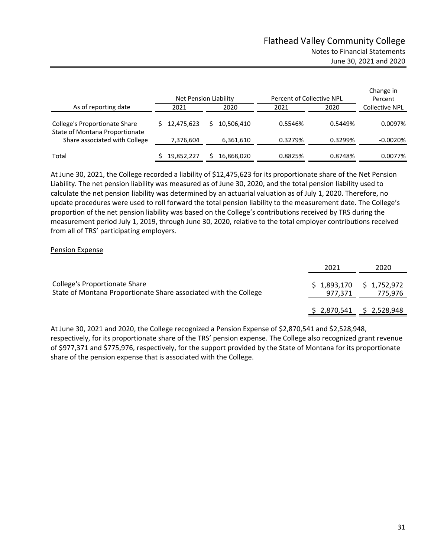|                                                                 |            | Net Pension Liability | <b>Percent of Collective NPL</b> |         | Change in<br>Percent  |
|-----------------------------------------------------------------|------------|-----------------------|----------------------------------|---------|-----------------------|
| As of reporting date                                            | 2021       | 2020                  | 2021                             | 2020    | <b>Collective NPL</b> |
| College's Proportionate Share<br>State of Montana Proportionate | 12,475,623 | 10.506.410            | 0.5546%                          | 0.5449% | 0.0097%               |
| Share associated with College                                   | 7,376,604  | 6,361,610             | 0.3279%                          | 0.3299% | $-0.0020\%$           |
| Total                                                           | 19,852,227 | 16,868,020            | 0.8825%                          | 0.8748% | 0.0077%               |

At June 30, 2021, the College recorded a liability of \$12,475,623 for its proportionate share of the Net Pension Liability. The net pension liability was measured as of June 30, 2020, and the total pension liability used to calculate the net pension liability was determined by an actuarial valuation as of July 1, 2020. Therefore, no update procedures were used to roll forward the total pension liability to the measurement date. The College's proportion of the net pension liability was based on the College's contributions received by TRS during the measurement period July 1, 2019, through June 30, 2020, relative to the total employer contributions received from all of TRS' participating employers.

#### Pension Expense

|                                                                                                   | 2021                    | 2020                                 |
|---------------------------------------------------------------------------------------------------|-------------------------|--------------------------------------|
| College's Proportionate Share<br>State of Montana Proportionate Share associated with the College | 977,371                 | $$1,893,170 \t$1,752,972$<br>775,976 |
|                                                                                                   | \$2,870,541 \$2,528,948 |                                      |

At June 30, 2021 and 2020, the College recognized a Pension Expense of \$2,870,541 and \$2,528,948, respectively, for its proportionate share of the TRS' pension expense. The College also recognized grant revenue of \$977,371 and \$775,976, respectively, for the support provided by the State of Montana for its proportionate share of the pension expense that is associated with the College.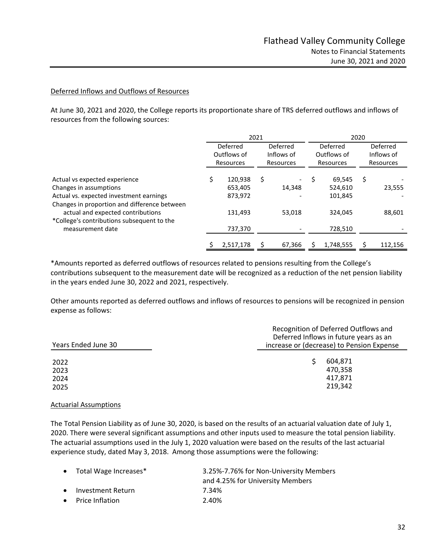#### Deferred Inflows and Outflows of Resources

At June 30, 2021 and 2020, the College reports its proportionate share of TRS deferred outflows and inflows of resources from the following sources:

|                                                                                         | 2021     |             |    | 2020       |   |             |          |            |
|-----------------------------------------------------------------------------------------|----------|-------------|----|------------|---|-------------|----------|------------|
|                                                                                         | Deferred |             |    | Deferred   |   | Deferred    | Deferred |            |
|                                                                                         |          | Outflows of |    | Inflows of |   | Outflows of |          | Inflows of |
|                                                                                         |          | Resources   |    | Resources  |   | Resources   |          | Resources  |
| Actual vs expected experience                                                           | \$       | 120,938     | \$ |            | S | 69.545      | \$       |            |
| Changes in assumptions                                                                  |          | 653,405     |    | 14,348     |   | 524,610     |          | 23,555     |
| Actual vs. expected investment earnings<br>Changes in proportion and difference between |          | 873,972     |    |            |   | 101,845     |          |            |
| actual and expected contributions<br>*College's contributions subsequent to the         |          | 131,493     |    | 53,018     |   | 324,045     |          | 88,601     |
| measurement date                                                                        |          | 737,370     |    |            |   | 728,510     |          |            |
|                                                                                         |          | 2,517,178   |    | 67,366     |   | 1,748,555   |          | 112,156    |

\*Amounts reported as deferred outflows of resources related to pensions resulting from the College's contributions subsequent to the measurement date will be recognized as a reduction of the net pension liability in the years ended June 30, 2022 and 2021, respectively.

Other amounts reported as deferred outflows and inflows of resources to pensions will be recognized in pension expense as follows:

| Years Ended June 30 | Recognition of Deferred Outflows and<br>Deferred Inflows in future years as an<br>increase or (decrease) to Pension Expense |  |  |  |
|---------------------|-----------------------------------------------------------------------------------------------------------------------------|--|--|--|
| 2022                | 604,871                                                                                                                     |  |  |  |
| 2023                | 470,358                                                                                                                     |  |  |  |
| 2024                | 417,871                                                                                                                     |  |  |  |
| 2025                | 219,342                                                                                                                     |  |  |  |

#### Actuarial Assumptions

The Total Pension Liability as of June 30, 2020, is based on the results of an actuarial valuation date of July 1, 2020. There were several significant assumptions and other inputs used to measure the total pension liability. The actuarial assumptions used in the July 1, 2020 valuation were based on the results of the last actuarial experience study, dated May 3, 2018. Among those assumptions were the following:

| • Total Wage Increases $*$ | 3.25%-7.76% for Non-University Members |
|----------------------------|----------------------------------------|
|                            | and 4.25% for University Members       |
| • Investment Return        | 7.34%                                  |
| • Price Inflation          | 2.40%                                  |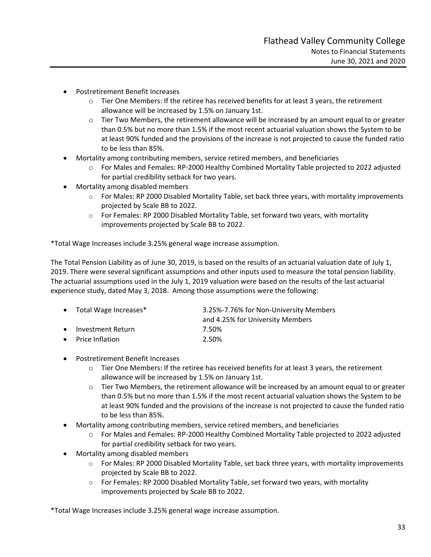- Postretirement Benefit Increases
	- $\circ$  Tier One Members: If the retiree has received benefits for at least 3 years, the retirement allowance will be increased by 1.5% on January 1st.
	- $\circ$  Tier Two Members, the retirement allowance will be increased by an amount equal to or greater than 0.5% but no more than 1.5% if the most recent actuarial valuation shows the System to be at least 90% funded and the provisions of the increase is not projected to cause the funded ratio to be less than 85%.
- Mortality among contributing members, service retired members, and beneficiaries
	- o For Males and Females: RP‐2000 Healthy Combined Mortality Table projected to 2022 adjusted for partial credibility setback for two years.
- Mortality among disabled members
	- o For Males: RP 2000 Disabled Mortality Table, set back three years, with mortality improvements projected by Scale BB to 2022.
	- $\circ$  For Females: RP 2000 Disabled Mortality Table, set forward two years, with mortality improvements projected by Scale BB to 2022.

\*Total Wage Increases include 3.25% general wage increase assumption.

The Total Pension Liability as of June 30, 2019, is based on the results of an actuarial valuation date of July 1, 2019. There were several significant assumptions and other inputs used to measure the total pension liability. The actuarial assumptions used in the July 1, 2019 valuation were based on the results of the last actuarial experience study, dated May 3, 2018. Among those assumptions were the following:

| $\bullet$ Total Wage Increases* | 3.25%-7.76% for Non-University Members |
|---------------------------------|----------------------------------------|
|                                 | and 4.25% for University Members       |
| • Investment Return             | 7.50%                                  |
| • Price Inflation               | 2.50%                                  |

- Postretirement Benefit Increases
	- $\circ$  Tier One Members: If the retiree has received benefits for at least 3 years, the retirement allowance will be increased by 1.5% on January 1st.
	- $\circ$  Tier Two Members, the retirement allowance will be increased by an amount equal to or greater than 0.5% but no more than 1.5% if the most recent actuarial valuation shows the System to be at least 90% funded and the provisions of the increase is not projected to cause the funded ratio to be less than 85%.
- Mortality among contributing members, service retired members, and beneficiaries
	- o For Males and Females: RP‐2000 Healthy Combined Mortality Table projected to 2022 adjusted for partial credibility setback for two years.
- Mortality among disabled members
	- o For Males: RP 2000 Disabled Mortality Table, set back three years, with mortality improvements projected by Scale BB to 2022.
	- $\circ$  For Females: RP 2000 Disabled Mortality Table, set forward two years, with mortality improvements projected by Scale BB to 2022.

\*Total Wage Increases include 3.25% general wage increase assumption.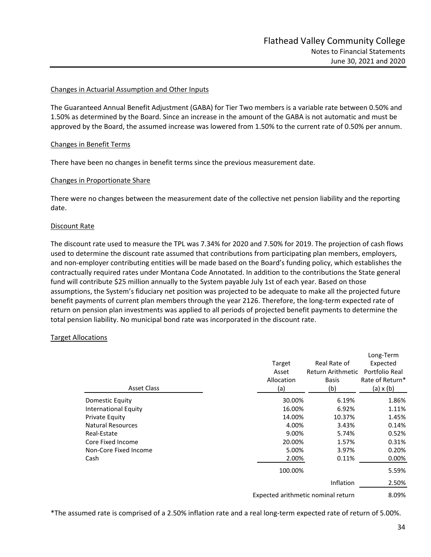## Changes in Actuarial Assumption and Other Inputs

The Guaranteed Annual Benefit Adjustment (GABA) for Tier Two members is a variable rate between 0.50% and 1.50% as determined by the Board. Since an increase in the amount of the GABA is not automatic and must be approved by the Board, the assumed increase was lowered from 1.50% to the current rate of 0.50% per annum.

## Changes in Benefit Terms

There have been no changes in benefit terms since the previous measurement date.

## Changes in Proportionate Share

There were no changes between the measurement date of the collective net pension liability and the reporting date.

## Discount Rate

The discount rate used to measure the TPL was 7.34% for 2020 and 7.50% for 2019. The projection of cash flows used to determine the discount rate assumed that contributions from participating plan members, employers, and non‐employer contributing entities will be made based on the Board's funding policy, which establishes the contractually required rates under Montana Code Annotated. In addition to the contributions the State general fund will contribute \$25 million annually to the System payable July 1st of each year. Based on those assumptions, the System's fiduciary net position was projected to be adequate to make all the projected future benefit payments of current plan members through the year 2126. Therefore, the long-term expected rate of return on pension plan investments was applied to all periods of projected benefit payments to determine the total pension liability. No municipal bond rate was incorporated in the discount rate.

#### Target Allocations

| <b>Asset Class</b>          | Target<br>Asset<br>Allocation<br>(a) | Real Rate of<br><b>Return Arithmetic</b><br><b>Basis</b><br>(b) | Long-Term<br>Expected<br>Portfolio Real<br>Rate of Return*<br>(a) x (b) |
|-----------------------------|--------------------------------------|-----------------------------------------------------------------|-------------------------------------------------------------------------|
| Domestic Equity             | 30.00%                               | 6.19%                                                           | 1.86%                                                                   |
| <b>International Equity</b> | 16.00%                               | 6.92%                                                           | 1.11%                                                                   |
| <b>Private Equity</b>       | 14.00%                               | 10.37%                                                          | 1.45%                                                                   |
| <b>Natural Resources</b>    | 4.00%                                | 3.43%                                                           | 0.14%                                                                   |
| Real-Estate                 | 9.00%                                | 5.74%                                                           | 0.52%                                                                   |
| Core Fixed Income           | 20.00%                               | 1.57%                                                           | 0.31%                                                                   |
| Non-Core Fixed Income       | 5.00%                                | 3.97%                                                           | 0.20%                                                                   |
| Cash                        | 2.00%                                | 0.11%                                                           | 0.00%                                                                   |
|                             | 100.00%                              |                                                                 | 5.59%                                                                   |
|                             |                                      | Inflation                                                       | 2.50%                                                                   |
|                             | Expected arithmetic nominal return   |                                                                 | 8.09%                                                                   |

\*The assumed rate is comprised of a 2.50% inflation rate and a real long‐term expected rate of return of 5.00%.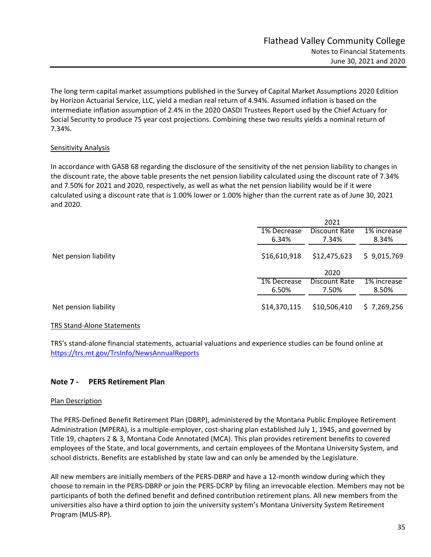The long term capital market assumptions published in the Survey of Capital Market Assumptions 2020 Edition by Horizon Actuarial Service, LLC, yield a median real return of 4.94%. Assumed inflation is based on the intermediate inflation assumption of 2.4% in the 2020 OASDI Trustees Report used by the Chief Actuary for Social Security to produce 75 year cost projections. Combining these two results yields a nominal return of 7.34%.

## Sensitivity Analysis

In accordance with GASB 68 regarding the disclosure of the sensitivity of the net pension liability to changes in the discount rate, the above table presents the net pension liability calculated using the discount rate of 7.34% and 7.50% for 2021 and 2020, respectively, as well as what the net pension liability would be if it were calculated using a discount rate that is 1.00% lower or 1.00% higher than the current rate as of June 30, 2021 and 2020.

|                       |                      | 2021                   |                      |
|-----------------------|----------------------|------------------------|----------------------|
|                       | 1% Decrease<br>6.34% | Discount Rate<br>7.34% | 1% increase<br>8.34% |
|                       |                      |                        |                      |
| Net pension liability | \$16,610,918         | \$12,475,623           | \$9,015,769          |
|                       |                      | 2020                   |                      |
|                       | 1% Decrease<br>6.50% | Discount Rate<br>7.50% | 1% increase<br>8.50% |
| Net pension liability | \$14,370,115         | \$10,506,410           | \$7,269,256          |

## TRS Stand‐Alone Statements

TRS's stand‐alone financial statements, actuarial valuations and experience studies can be found online at https://trs.mt.gov/TrsInfo/NewsAnnualReports

## **Note 7 ‐ PERS Retirement Plan**

## Plan Description

The PERS‐Defined Benefit Retirement Plan (DBRP), administered by the Montana Public Employee Retirement Administration (MPERA), is a multiple-employer, cost-sharing plan established July 1, 1945, and governed by Title 19, chapters 2 & 3, Montana Code Annotated (MCA). This plan provides retirement benefits to covered employees of the State, and local governments, and certain employees of the Montana University System, and school districts. Benefits are established by state law and can only be amended by the Legislature.

All new members are initially members of the PERS‐DBRP and have a 12‐month window during which they choose to remain in the PERS‐DBRP or join the PERS‐DCRP by filing an irrevocable election. Members may not be participants of both the defined benefit and defined contribution retirement plans. All new members from the universities also have a third option to join the university system's Montana University System Retirement Program (MUS‐RP).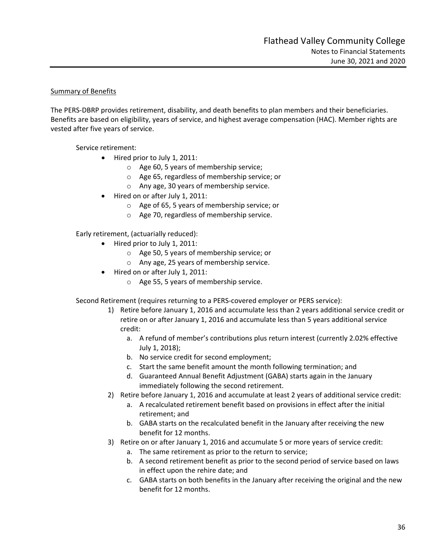## Summary of Benefits

The PERS‐DBRP provides retirement, disability, and death benefits to plan members and their beneficiaries. Benefits are based on eligibility, years of service, and highest average compensation (HAC). Member rights are vested after five years of service.

Service retirement:

- Hired prior to July 1, 2011:
	- o Age 60, 5 years of membership service;
	- o Age 65, regardless of membership service; or
	- o Any age, 30 years of membership service.
- Hired on or after July 1, 2011:
	- o Age of 65, 5 years of membership service; or
	- o Age 70, regardless of membership service.

Early retirement, (actuarially reduced):

- Hired prior to July 1, 2011:
	- o Age 50, 5 years of membership service; or
	- o Any age, 25 years of membership service.
- Hired on or after July 1, 2011:
	- o Age 55, 5 years of membership service.

Second Retirement (requires returning to a PERS‐covered employer or PERS service):

- 1) Retire before January 1, 2016 and accumulate less than 2 years additional service credit or retire on or after January 1, 2016 and accumulate less than 5 years additional service credit:
	- a. A refund of member's contributions plus return interest (currently 2.02% effective July 1, 2018);
	- b. No service credit for second employment;
	- c. Start the same benefit amount the month following termination; and
	- d. Guaranteed Annual Benefit Adjustment (GABA) starts again in the January immediately following the second retirement.
- 2) Retire before January 1, 2016 and accumulate at least 2 years of additional service credit:
	- a. A recalculated retirement benefit based on provisions in effect after the initial retirement; and
	- b. GABA starts on the recalculated benefit in the January after receiving the new benefit for 12 months.
- 3) Retire on or after January 1, 2016 and accumulate 5 or more years of service credit:
	- a. The same retirement as prior to the return to service;
	- b. A second retirement benefit as prior to the second period of service based on laws in effect upon the rehire date; and
	- c. GABA starts on both benefits in the January after receiving the original and the new benefit for 12 months.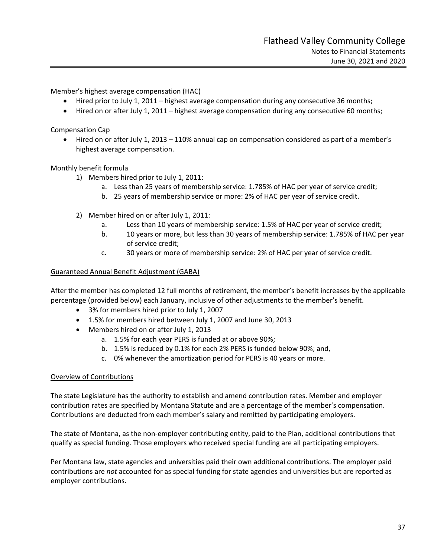Member's highest average compensation (HAC)

- Hired prior to July 1, 2011 highest average compensation during any consecutive 36 months;
- Hired on or after July 1, 2011 highest average compensation during any consecutive 60 months;

Compensation Cap

 Hired on or after July 1, 2013 – 110% annual cap on compensation considered as part of a member's highest average compensation.

## Monthly benefit formula

- 1) Members hired prior to July 1, 2011:
	- a. Less than 25 years of membership service: 1.785% of HAC per year of service credit;
	- b. 25 years of membership service or more: 2% of HAC per year of service credit.
- 2) Member hired on or after July 1, 2011:
	- a. Less than 10 years of membership service: 1.5% of HAC per year of service credit;
	- b. 10 years or more, but less than 30 years of membership service: 1.785% of HAC per year of service credit;
	- c. 30 years or more of membership service: 2% of HAC per year of service credit.

#### Guaranteed Annual Benefit Adjustment (GABA)

After the member has completed 12 full months of retirement, the member's benefit increases by the applicable percentage (provided below) each January, inclusive of other adjustments to the member's benefit.

- 3% for members hired prior to July 1, 2007
- 1.5% for members hired between July 1, 2007 and June 30, 2013
- Members hired on or after July 1, 2013
	- a. 1.5% for each year PERS is funded at or above 90%;
	- b. 1.5% is reduced by 0.1% for each 2% PERS is funded below 90%; and,
	- c. 0% whenever the amortization period for PERS is 40 years or more.

#### Overview of Contributions

The state Legislature has the authority to establish and amend contribution rates. Member and employer contribution rates are specified by Montana Statute and are a percentage of the member's compensation. Contributions are deducted from each member's salary and remitted by participating employers.

The state of Montana, as the non‐employer contributing entity, paid to the Plan, additional contributions that qualify as special funding. Those employers who received special funding are all participating employers.

Per Montana law, state agencies and universities paid their own additional contributions. The employer paid contributions are *not* accounted for as special funding for state agencies and universities but are reported as employer contributions.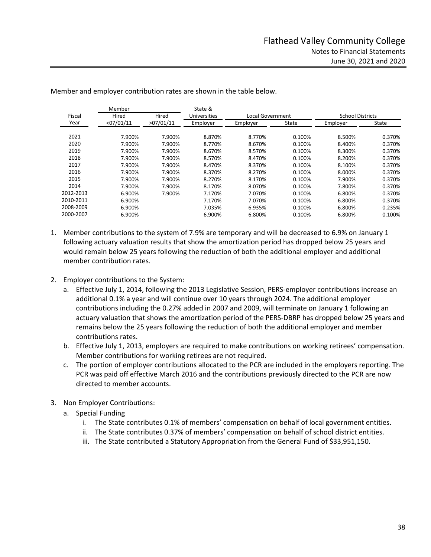|           | Member       |           | State &      |                  |        |                         |        |
|-----------|--------------|-----------|--------------|------------------|--------|-------------------------|--------|
| Fiscal    | Hired        | Hired     | Universities | Local Government |        | <b>School Districts</b> |        |
| Year      | $<$ 07/01/11 | >07/01/11 | Employer     | Employer         | State  | Employer                | State  |
|           |              |           |              |                  |        |                         |        |
| 2021      | 7.900%       | 7.900%    | 8.870%       | 8.770%           | 0.100% | 8.500%                  | 0.370% |
| 2020      | 7.900%       | 7.900%    | 8.770%       | 8.670%           | 0.100% | 8.400%                  | 0.370% |
| 2019      | 7.900%       | 7.900%    | 8.670%       | 8.570%           | 0.100% | 8.300%                  | 0.370% |
| 2018      | 7.900%       | 7.900%    | 8.570%       | 8.470%           | 0.100% | 8.200%                  | 0.370% |
| 2017      | 7.900%       | 7.900%    | 8.470%       | 8.370%           | 0.100% | 8.100%                  | 0.370% |
| 2016      | 7.900%       | 7.900%    | 8.370%       | 8.270%           | 0.100% | 8.000%                  | 0.370% |
| 2015      | 7.900%       | 7.900%    | 8.270%       | 8.170%           | 0.100% | 7.900%                  | 0.370% |
| 2014      | 7.900%       | 7.900%    | 8.170%       | 8.070%           | 0.100% | 7.800%                  | 0.370% |
| 2012-2013 | 6.900%       | 7.900%    | 7.170%       | 7.070%           | 0.100% | 6.800%                  | 0.370% |
| 2010-2011 | 6.900%       |           | 7.170%       | 7.070%           | 0.100% | 6.800%                  | 0.370% |
| 2008-2009 | 6.900%       |           | 7.035%       | 6.935%           | 0.100% | 6.800%                  | 0.235% |
| 2000-2007 | 6.900%       |           | 6.900%       | 6.800%           | 0.100% | 6.800%                  | 0.100% |

Member and employer contribution rates are shown in the table below.

- 1. Member contributions to the system of 7.9% are temporary and will be decreased to 6.9% on January 1 following actuary valuation results that show the amortization period has dropped below 25 years and would remain below 25 years following the reduction of both the additional employer and additional member contribution rates.
- 2. Employer contributions to the System:
	- a. Effective July 1, 2014, following the 2013 Legislative Session, PERS-employer contributions increase an additional 0.1% a year and will continue over 10 years through 2024. The additional employer contributions including the 0.27% added in 2007 and 2009, will terminate on January 1 following an actuary valuation that shows the amortization period of the PERS‐DBRP has dropped below 25 years and remains below the 25 years following the reduction of both the additional employer and member contributions rates.
	- b. Effective July 1, 2013, employers are required to make contributions on working retirees' compensation. Member contributions for working retirees are not required.
	- c. The portion of employer contributions allocated to the PCR are included in the employers reporting. The PCR was paid off effective March 2016 and the contributions previously directed to the PCR are now directed to member accounts.
- 3. Non Employer Contributions:
	- a. Special Funding
		- i. The State contributes 0.1% of members' compensation on behalf of local government entities.
		- ii. The State contributes 0.37% of members' compensation on behalf of school district entities.
		- iii. The State contributed a Statutory Appropriation from the General Fund of \$33,951,150.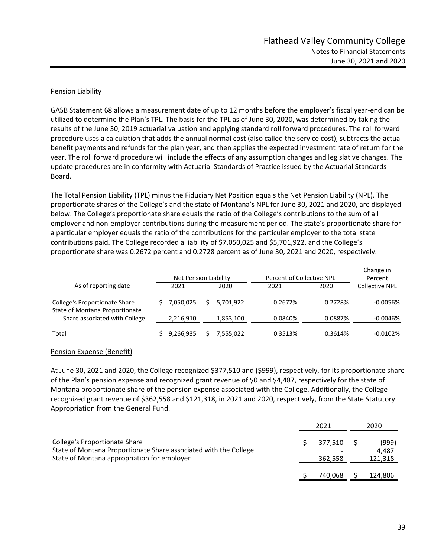## Pension Liability

GASB Statement 68 allows a measurement date of up to 12 months before the employer's fiscal year-end can be utilized to determine the Plan's TPL. The basis for the TPL as of June 30, 2020, was determined by taking the results of the June 30, 2019 actuarial valuation and applying standard roll forward procedures. The roll forward procedure uses a calculation that adds the annual normal cost (also called the service cost), subtracts the actual benefit payments and refunds for the plan year, and then applies the expected investment rate of return for the year. The roll forward procedure will include the effects of any assumption changes and legislative changes. The update procedures are in conformity with Actuarial Standards of Practice issued by the Actuarial Standards Board.

The Total Pension Liability (TPL) minus the Fiduciary Net Position equals the Net Pension Liability (NPL). The proportionate shares of the College's and the state of Montana's NPL for June 30, 2021 and 2020, are displayed below. The College's proportionate share equals the ratio of the College's contributions to the sum of all employer and non‐employer contributions during the measurement period. The state's proportionate share for a particular employer equals the ratio of the contributions for the particular employer to the total state contributions paid. The College recorded a liability of \$7,050,025 and \$5,701,922, and the College's proportionate share was 0.2672 percent and 0.2728 percent as of June 30, 2021 and 2020, respectively.

|                                                                 |           | Net Pension Liability | Percent of Collective NPL |         | Change in<br>Percent  |
|-----------------------------------------------------------------|-----------|-----------------------|---------------------------|---------|-----------------------|
| As of reporting date                                            | 2021      | 2020                  | 2021                      | 2020    | <b>Collective NPL</b> |
| College's Proportionate Share<br>State of Montana Proportionate | 7.050.025 | 5.701.922             | 0.2672%                   | 0.2728% | $-0.0056%$            |
| Share associated with College                                   | 2,216,910 | 1,853,100             | 0.0840%                   | 0.0887% | $-0.0046%$            |
| Total                                                           | 9,266,935 | 7,555,022             | 0.3513%                   | 0.3614% | $-0.0102%$            |

## Pension Expense (Benefit)

At June 30, 2021 and 2020, the College recognized \$377,510 and (\$999), respectively, for its proportionate share of the Plan's pension expense and recognized grant revenue of \$0 and \$4,487, respectively for the state of Montana proportionate share of the pension expense associated with the College. Additionally, the College recognized grant revenue of \$362,558 and \$121,318, in 2021 and 2020, respectively, from the State Statutory Appropriation from the General Fund.

|                                                                                                                                                  | 2021                    | 2020                      |
|--------------------------------------------------------------------------------------------------------------------------------------------------|-------------------------|---------------------------|
| College's Proportionate Share<br>State of Montana Proportionate Share associated with the College<br>State of Montana appropriation for employer | 377.510<br>۰<br>362,558 | (999)<br>4.487<br>121,318 |
|                                                                                                                                                  | 740.068                 | 124,806                   |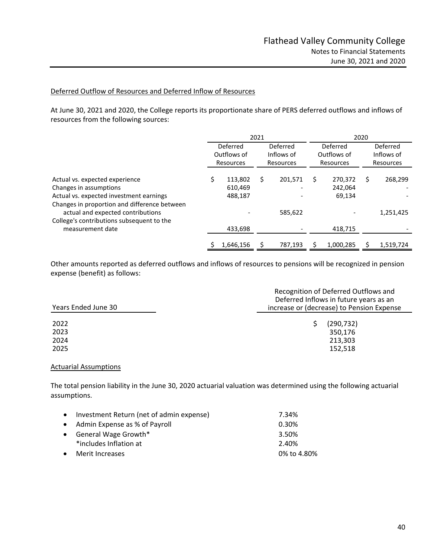#### Deferred Outflow of Resources and Deferred Inflow of Resources

At June 30, 2021 and 2020, the College reports its proportionate share of PERS deferred outflows and inflows of resources from the following sources:

|                                              | 2021 |             | 2020 |            |   |             |    |            |
|----------------------------------------------|------|-------------|------|------------|---|-------------|----|------------|
|                                              |      | Deferred    |      | Deferred   |   | Deferred    |    | Deferred   |
|                                              |      | Outflows of |      | Inflows of |   | Outflows of |    | Inflows of |
|                                              |      | Resources   |      | Resources  |   | Resources   |    | Resources  |
|                                              |      |             |      |            |   |             |    |            |
| Actual vs. expected experience               | \$   | 113.802     | Ś    | 201,571    | Ś | 270.372     | \$ | 268,299    |
| Changes in assumptions                       |      | 610.469     |      |            |   | 242.064     |    |            |
| Actual vs. expected investment earnings      |      | 488,187     |      |            |   | 69,134      |    |            |
| Changes in proportion and difference between |      |             |      |            |   |             |    |            |
| actual and expected contributions            |      |             |      | 585,622    |   |             |    | 1,251,425  |
| College's contributions subsequent to the    |      |             |      |            |   |             |    |            |
| measurement date                             |      | 433,698     |      |            |   | 418,715     |    |            |
|                                              |      |             |      |            |   |             |    |            |
|                                              |      | 1,646,156   |      | 787.193    |   | 1,000,285   |    | 1,519,724  |

Other amounts reported as deferred outflows and inflows of resources to pensions will be recognized in pension expense (benefit) as follows:

| Years Ended June 30 | Recognition of Deferred Outflows and<br>Deferred Inflows in future years as an<br>increase or (decrease) to Pension Expense |  |  |  |
|---------------------|-----------------------------------------------------------------------------------------------------------------------------|--|--|--|
| 2022                | (290,732)                                                                                                                   |  |  |  |
| 2023                | 350,176                                                                                                                     |  |  |  |
| 2024                | 213,303                                                                                                                     |  |  |  |
| 2025                | 152,518                                                                                                                     |  |  |  |

#### Actuarial Assumptions

The total pension liability in the June 30, 2020 actuarial valuation was determined using the following actuarial assumptions.

|           | • Investment Return (net of admin expense) | 7.34%       |
|-----------|--------------------------------------------|-------------|
|           | • Admin Expense as % of Payroll            | 0.30%       |
|           | • General Wage Growth*                     | 3.50%       |
|           | *includes Inflation at                     | 2.40%       |
| $\bullet$ | Merit Increases                            | 0% to 4.80% |
|           |                                            |             |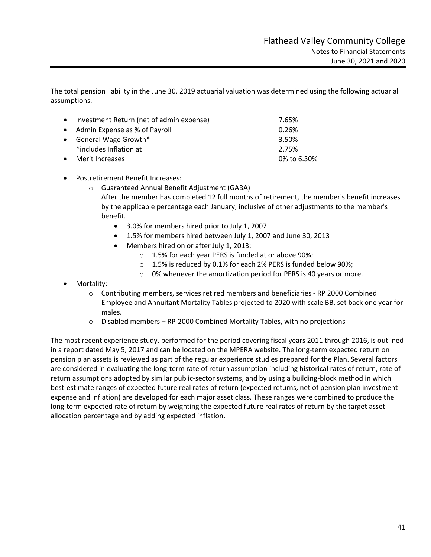The total pension liability in the June 30, 2019 actuarial valuation was determined using the following actuarial assumptions.

| $\bullet$ | Investment Return (net of admin expense) | 7.65%       |
|-----------|------------------------------------------|-------------|
|           | • Admin Expense as % of Payroll          | 0.26%       |
|           | • General Wage Growth*                   | 3.50%       |
|           | *includes Inflation at                   | 2.75%       |
| $\bullet$ | Merit Increases                          | 0% to 6.30% |
|           |                                          |             |

- Postretirement Benefit Increases:
	- o Guaranteed Annual Benefit Adjustment (GABA) After the member has completed 12 full months of retirement, the member's benefit increases by the applicable percentage each January, inclusive of other adjustments to the member's benefit.
		- 3.0% for members hired prior to July 1, 2007
		- 1.5% for members hired between July 1, 2007 and June 30, 2013
		- Members hired on or after July 1, 2013:
			- o 1.5% for each year PERS is funded at or above 90%;
			- o 1.5% is reduced by 0.1% for each 2% PERS is funded below 90%;
			- o 0% whenever the amortization period for PERS is 40 years or more.
- Mortality:
	- o Contributing members, services retired members and beneficiaries ‐ RP 2000 Combined Employee and Annuitant Mortality Tables projected to 2020 with scale BB, set back one year for males.
	- o Disabled members RP‐2000 Combined Mortality Tables, with no projections

The most recent experience study, performed for the period covering fiscal years 2011 through 2016, is outlined in a report dated May 5, 2017 and can be located on the MPERA website. The long-term expected return on pension plan assets is reviewed as part of the regular experience studies prepared for the Plan. Several factors are considered in evaluating the long-term rate of return assumption including historical rates of return, rate of return assumptions adopted by similar public‐sector systems, and by using a building‐block method in which best-estimate ranges of expected future real rates of return (expected returns, net of pension plan investment expense and inflation) are developed for each major asset class. These ranges were combined to produce the long-term expected rate of return by weighting the expected future real rates of return by the target asset allocation percentage and by adding expected inflation.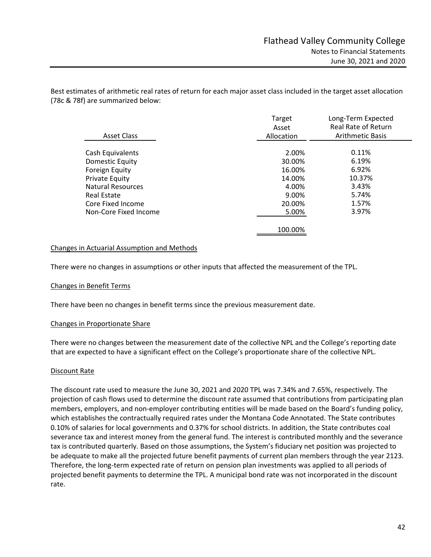Best estimates of arithmetic real rates of return for each major asset class included in the target asset allocation (78c & 78f) are summarized below:

| <b>Asset Class</b>       | Target<br>Asset<br>Allocation | Long-Term Expected<br>Real Rate of Return<br><b>Arithmetic Basis</b> |
|--------------------------|-------------------------------|----------------------------------------------------------------------|
|                          | 2.00%                         | 0.11%                                                                |
| Cash Equivalents         |                               |                                                                      |
| <b>Domestic Equity</b>   | 30.00%                        | 6.19%                                                                |
| Foreign Equity           | 16.00%                        | 6.92%                                                                |
| <b>Private Equity</b>    | 14.00%                        | 10.37%                                                               |
| <b>Natural Resources</b> | 4.00%                         | 3.43%                                                                |
| Real Estate              | 9.00%                         | 5.74%                                                                |
| Core Fixed Income        | 20.00%                        | 1.57%                                                                |
| Non-Core Fixed Income    | 5.00%                         | 3.97%                                                                |
|                          | 100.00%                       |                                                                      |

## Changes in Actuarial Assumption and Methods

There were no changes in assumptions or other inputs that affected the measurement of the TPL.

#### Changes in Benefit Terms

There have been no changes in benefit terms since the previous measurement date.

#### Changes in Proportionate Share

There were no changes between the measurement date of the collective NPL and the College's reporting date that are expected to have a significant effect on the College's proportionate share of the collective NPL.

#### Discount Rate

The discount rate used to measure the June 30, 2021 and 2020 TPL was 7.34% and 7.65%, respectively. The projection of cash flows used to determine the discount rate assumed that contributions from participating plan members, employers, and non-employer contributing entities will be made based on the Board's funding policy, which establishes the contractually required rates under the Montana Code Annotated. The State contributes 0.10% of salaries for local governments and 0.37% for school districts. In addition, the State contributes coal severance tax and interest money from the general fund. The interest is contributed monthly and the severance tax is contributed quarterly. Based on those assumptions, the System's fiduciary net position was projected to be adequate to make all the projected future benefit payments of current plan members through the year 2123. Therefore, the long‐term expected rate of return on pension plan investments was applied to all periods of projected benefit payments to determine the TPL. A municipal bond rate was not incorporated in the discount rate.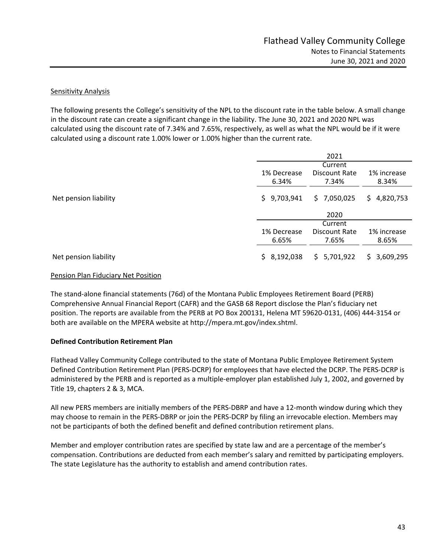## Sensitivity Analysis

The following presents the College's sensitivity of the NPL to the discount rate in the table below. A small change in the discount rate can create a significant change in the liability. The June 30, 2021 and 2020 NPL was calculated using the discount rate of 7.34% and 7.65%, respectively, as well as what the NPL would be if it were calculated using a discount rate 1.00% lower or 1.00% higher than the current rate.

|                       |                      | 2021                   |                      |
|-----------------------|----------------------|------------------------|----------------------|
|                       |                      | Current                |                      |
|                       | 1% Decrease<br>6.34% | Discount Rate<br>7.34% | 1% increase<br>8.34% |
| Net pension liability | \$9,703,941          | 7,050,025<br>\$.       | \$4,820,753          |
|                       |                      | 2020                   |                      |
|                       |                      | Current                |                      |
|                       |                      |                        |                      |
|                       | 1% Decrease          | Discount Rate          | 1% increase          |
|                       | 6.65%                | 7.65%                  | 8.65%                |

## Pension Plan Fiduciary Net Position

The stand‐alone financial statements (76d) of the Montana Public Employees Retirement Board (PERB) Comprehensive Annual Financial Report (CAFR) and the GASB 68 Report disclose the Plan's fiduciary net position. The reports are available from the PERB at PO Box 200131, Helena MT 59620‐0131, (406) 444‐3154 or both are available on the MPERA website at http://mpera.mt.gov/index.shtml.

## **Defined Contribution Retirement Plan**

Flathead Valley Community College contributed to the state of Montana Public Employee Retirement System Defined Contribution Retirement Plan (PERS‐DCRP) for employees that have elected the DCRP. The PERS‐DCRP is administered by the PERB and is reported as a multiple‐employer plan established July 1, 2002, and governed by Title 19, chapters 2 & 3, MCA.

All new PERS members are initially members of the PERS‐DBRP and have a 12‐month window during which they may choose to remain in the PERS‐DBRP or join the PERS‐DCRP by filing an irrevocable election. Members may not be participants of both the defined benefit and defined contribution retirement plans.

Member and employer contribution rates are specified by state law and are a percentage of the member's compensation. Contributions are deducted from each member's salary and remitted by participating employers. The state Legislature has the authority to establish and amend contribution rates.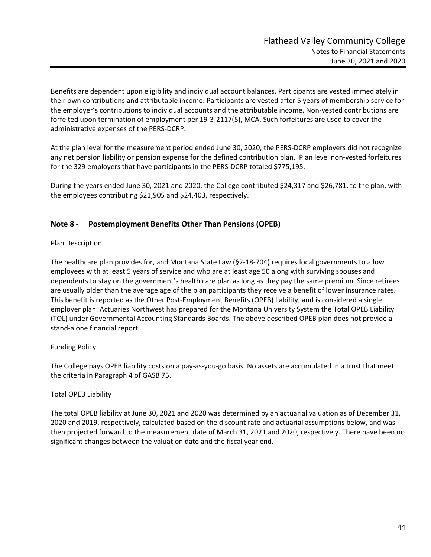Benefits are dependent upon eligibility and individual account balances. Participants are vested immediately in their own contributions and attributable income. Participants are vested after 5 years of membership service for the employer's contributions to individual accounts and the attributable income. Non‐vested contributions are forfeited upon termination of employment per 19‐3‐2117(5), MCA. Such forfeitures are used to cover the administrative expenses of the PERS‐DCRP.

At the plan level for the measurement period ended June 30, 2020, the PERS‐DCRP employers did not recognize any net pension liability or pension expense for the defined contribution plan. Plan level non‐vested forfeitures for the 329 employers that have participants in the PERS-DCRP totaled \$775,195.

During the years ended June 30, 2021 and 2020, the College contributed \$24,317 and \$26,781, to the plan, with the employees contributing \$21,905 and \$24,403, respectively.

## **Note 8 ‐ Postemployment Benefits Other Than Pensions (OPEB)**

## Plan Description

The healthcare plan provides for, and Montana State Law (§2‐18‐704) requires local governments to allow employees with at least 5 years of service and who are at least age 50 along with surviving spouses and dependents to stay on the government's health care plan as long as they pay the same premium. Since retirees are usually older than the average age of the plan participants they receive a benefit of lower insurance rates. This benefit is reported as the Other Post‐Employment Benefits (OPEB) liability, and is considered a single employer plan. Actuaries Northwest has prepared for the Montana University System the Total OPEB Liability (TOL) under Governmental Accounting Standards Boards. The above described OPEB plan does not provide a stand‐alone financial report.

## Funding Policy

The College pays OPEB liability costs on a pay‐as‐you‐go basis. No assets are accumulated in a trust that meet the criteria in Paragraph 4 of GASB 75.

## Total OPEB Liability

The total OPEB liability at June 30, 2021 and 2020 was determined by an actuarial valuation as of December 31, 2020 and 2019, respectively, calculated based on the discount rate and actuarial assumptions below, and was then projected forward to the measurement date of March 31, 2021 and 2020, respectively. There have been no significant changes between the valuation date and the fiscal year end.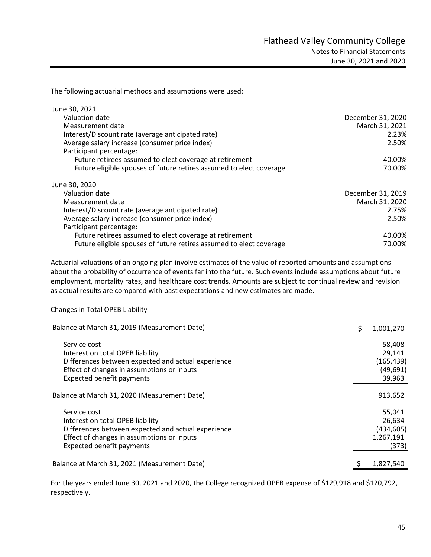The following actuarial methods and assumptions were used:

| June 30, 2021                                                       |                   |
|---------------------------------------------------------------------|-------------------|
| Valuation date                                                      | December 31, 2020 |
| Measurement date                                                    | March 31, 2021    |
| Interest/Discount rate (average anticipated rate)                   | 2.23%             |
| Average salary increase (consumer price index)                      | 2.50%             |
| Participant percentage:                                             |                   |
| Future retirees assumed to elect coverage at retirement             | 40.00%            |
| Future eligible spouses of future retires assumed to elect coverage | 70.00%            |
| June 30, 2020                                                       |                   |
| Valuation date                                                      | December 31, 2019 |
| Measurement date                                                    | March 31, 2020    |
| Interest/Discount rate (average anticipated rate)                   | 2.75%             |
| Average salary increase (consumer price index)                      | 2.50%             |
| Participant percentage:                                             |                   |
| Future retirees assumed to elect coverage at retirement             | 40.00%            |
| Future eligible spouses of future retires assumed to elect coverage | 70.00%            |

Actuarial valuations of an ongoing plan involve estimates of the value of reported amounts and assumptions about the probability of occurrence of events far into the future. Such events include assumptions about future employment, mortality rates, and healthcare cost trends. Amounts are subject to continual review and revision as actual results are compared with past expectations and new estimates are made.

#### Changes in Total OPEB Liability

| Balance at March 31, 2019 (Measurement Date)                                                                                                                                             | \$<br>1,001,270                                       |
|------------------------------------------------------------------------------------------------------------------------------------------------------------------------------------------|-------------------------------------------------------|
| Service cost<br>Interest on total OPEB liability<br>Differences between expected and actual experience<br>Effect of changes in assumptions or inputs<br><b>Expected benefit payments</b> | 58,408<br>29,141<br>(165, 439)<br>(49, 691)<br>39,963 |
| Balance at March 31, 2020 (Measurement Date)                                                                                                                                             | 913,652                                               |
| Service cost<br>Interest on total OPEB liability<br>Differences between expected and actual experience<br>Effect of changes in assumptions or inputs<br><b>Expected benefit payments</b> | 55,041<br>26,634<br>(434, 605)<br>1,267,191<br>(373)  |
| Balance at March 31, 2021 (Measurement Date)                                                                                                                                             | 1,827,540                                             |

For the years ended June 30, 2021 and 2020, the College recognized OPEB expense of \$129,918 and \$120,792, respectively.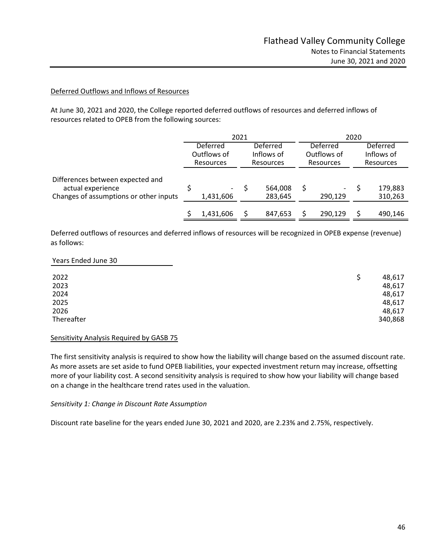## Deferred Outflows and Inflows of Resources

At June 30, 2021 and 2020, the College reported deferred outflows of resources and deferred inflows of resources related to OPEB from the following sources:

|                                                                                                 | 2021 |                  |  | 2020               |  |                                     |  |                    |
|-------------------------------------------------------------------------------------------------|------|------------------|--|--------------------|--|-------------------------------------|--|--------------------|
|                                                                                                 |      | Deferred         |  | Deferred           |  | Deferred                            |  | Deferred           |
|                                                                                                 |      | Outflows of      |  | Inflows of         |  | Outflows of                         |  | Inflows of         |
|                                                                                                 |      | <b>Resources</b> |  | <b>Resources</b>   |  | Resources                           |  | <b>Resources</b>   |
| Differences between expected and<br>actual experience<br>Changes of assumptions or other inputs |      | 1,431,606        |  | 564,008<br>283,645 |  | $\overline{\phantom{0}}$<br>290,129 |  | 179,883<br>310,263 |
|                                                                                                 |      | 1,431,606        |  | 847,653            |  | 290,129                             |  | 490,146            |

Deferred outflows of resources and deferred inflows of resources will be recognized in OPEB expense (revenue) as follows:

#### Years Ended June 30

| 2022       | 48,617  |
|------------|---------|
| 2023       | 48,617  |
| 2024       | 48,617  |
| 2025       | 48,617  |
| 2026       | 48,617  |
| Thereafter | 340,868 |

#### Sensitivity Analysis Required by GASB 75

The first sensitivity analysis is required to show how the liability will change based on the assumed discount rate. As more assets are set aside to fund OPEB liabilities, your expected investment return may increase, offsetting more of your liability cost. A second sensitivity analysis is required to show how your liability will change based on a change in the healthcare trend rates used in the valuation.

#### *Sensitivity 1: Change in Discount Rate Assumption*

Discount rate baseline for the years ended June 30, 2021 and 2020, are 2.23% and 2.75%, respectively.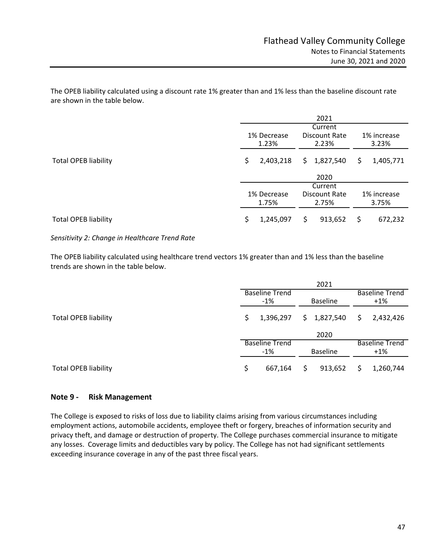The OPEB liability calculated using a discount rate 1% greater than and 1% less than the baseline discount rate are shown in the table below.

|                             |    |                      |     | 2021                                     |                      |
|-----------------------------|----|----------------------|-----|------------------------------------------|----------------------|
|                             |    | 1% Decrease<br>1.23% |     | Current<br><b>Discount Rate</b><br>2.23% | 1% increase<br>3.23% |
| <b>Total OPEB liability</b> | S. | 2,403,218            | \$. | 1,827,540                                | \$<br>1,405,771      |
|                             |    |                      |     | 2020                                     |                      |
|                             |    |                      |     | Current                                  |                      |
|                             |    | 1% Decrease<br>1.75% |     | Discount Rate<br>2.75%                   | 1% increase<br>3.75% |
| <b>Total OPEB liability</b> | Ś. | 1,245,097            | S   | 913,652                                  | \$<br>672,232        |

## *Sensitivity 2: Change in Healthcare Trend Rate*

The OPEB liability calculated using healthcare trend vectors 1% greater than and 1% less than the baseline trends are shown in the table below.

|                             |    |                       |                 | 2021            |   |                       |
|-----------------------------|----|-----------------------|-----------------|-----------------|---|-----------------------|
|                             |    | <b>Baseline Trend</b> |                 |                 |   | <b>Baseline Trend</b> |
|                             |    | $-1%$                 |                 | <b>Baseline</b> |   | $+1\%$                |
| <b>Total OPEB liability</b> | S. | 1,396,297             | 1,827,540<br>S. |                 | S | 2,432,426             |
|                             |    |                       |                 | 2020            |   |                       |
|                             |    | <b>Baseline Trend</b> |                 |                 |   | <b>Baseline Trend</b> |
|                             |    | $-1%$                 |                 | <b>Baseline</b> |   | $+1\%$                |
| <b>Total OPEB liability</b> |    | 667,164               |                 | 913,652         |   | 1,260,744             |

## **Note 9 ‐ Risk Management**

The College is exposed to risks of loss due to liability claims arising from various circumstances including employment actions, automobile accidents, employee theft or forgery, breaches of information security and privacy theft, and damage or destruction of property. The College purchases commercial insurance to mitigate any losses. Coverage limits and deductibles vary by policy. The College has not had significant settlements exceeding insurance coverage in any of the past three fiscal years.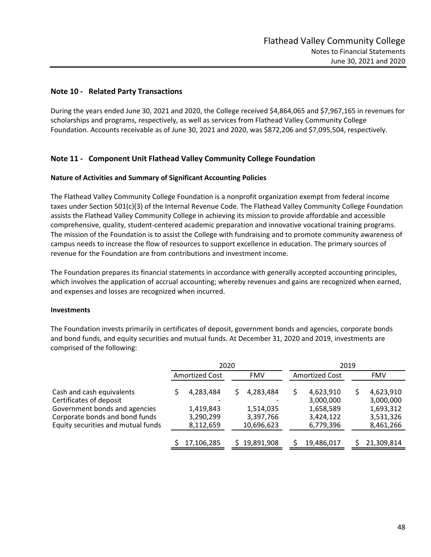## **Note 10 ‐ Related Party Transactions**

During the years ended June 30, 2021 and 2020, the College received \$4,864,065 and \$7,967,165 in revenues for scholarships and programs, respectively, as well as services from Flathead Valley Community College Foundation. Accounts receivable as of June 30, 2021 and 2020, was \$872,206 and \$7,095,504, respectively.

## **Note 11 ‐ Component Unit Flathead Valley Community College Foundation**

## **Nature of Activities and Summary of Significant Accounting Policies**

The Flathead Valley Community College Foundation is a nonprofit organization exempt from federal income taxes under Section 501(c)(3) of the Internal Revenue Code. The Flathead Valley Community College Foundation assists the Flathead Valley Community College in achieving its mission to provide affordable and accessible comprehensive, quality, student‐centered academic preparation and innovative vocational training programs. The mission of the Foundation is to assist the College with fundraising and to promote community awareness of campus needs to increase the flow of resources to support excellence in education. The primary sources of revenue for the Foundation are from contributions and investment income.

The Foundation prepares its financial statements in accordance with generally accepted accounting principles, which involves the application of accrual accounting; whereby revenues and gains are recognized when earned, and expenses and losses are recognized when incurred.

## **Investments**

The Foundation invests primarily in certificates of deposit, government bonds and agencies, corporate bonds and bond funds, and equity securities and mutual funds. At December 31, 2020 and 2019, investments are comprised of the following:

|                                                                                                                                                               | 2020 |                                                  |  |                                                   | 2019 |                                                               |   |                                                               |
|---------------------------------------------------------------------------------------------------------------------------------------------------------------|------|--------------------------------------------------|--|---------------------------------------------------|------|---------------------------------------------------------------|---|---------------------------------------------------------------|
|                                                                                                                                                               |      | <b>Amortized Cost</b>                            |  | <b>FMV</b>                                        |      | <b>Amortized Cost</b>                                         |   | <b>FMV</b>                                                    |
| Cash and cash equivalents<br>Certificates of deposit<br>Government bonds and agencies<br>Corporate bonds and bond funds<br>Equity securities and mutual funds |      | 4,283,484<br>1,419,843<br>3,290,299<br>8,112,659 |  | 4,283,484<br>1,514,035<br>3,397,766<br>10,696,623 |      | 4,623,910<br>3,000,000<br>1,658,589<br>3,424,122<br>6,779,396 | S | 4,623,910<br>3,000,000<br>1,693,312<br>3,531,326<br>8,461,266 |
|                                                                                                                                                               |      | 17,106,285                                       |  | 19,891,908                                        |      | 19,486,017                                                    |   | 21,309,814                                                    |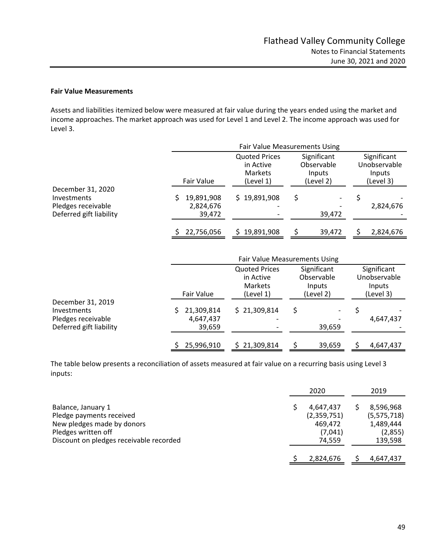## **Fair Value Measurements**

Assets and liabilities itemized below were measured at fair value during the years ended using the market and income approaches. The market approach was used for Level 1 and Level 2. The income approach was used for Level 3.

|                                                               |                                       | <b>Fair Value Measurements Using</b>         |                                     |                                       |  |  |  |  |  |
|---------------------------------------------------------------|---------------------------------------|----------------------------------------------|-------------------------------------|---------------------------------------|--|--|--|--|--|
|                                                               |                                       | <b>Quoted Prices</b><br>in Active<br>Markets | Significant<br>Observable<br>Inputs | Significant<br>Unobservable<br>Inputs |  |  |  |  |  |
| December 31, 2020<br><b>Investments</b><br>Pledges receivable | Fair Value<br>19,891,908<br>2,824,676 | (Level 1)<br>\$19,891,908                    | (Level 2)<br>\$<br>-                | (Level 3)<br>2,824,676                |  |  |  |  |  |
| Deferred gift liability                                       | 39,472                                |                                              | 39,472                              |                                       |  |  |  |  |  |
|                                                               | 22,756,056                            | 19,891,908                                   | 39,472                              | 2,824,676                             |  |  |  |  |  |

|                                                                                          | <b>Fair Value Measurements Using</b> |                                                           |                                                  |                                                    |  |  |  |  |  |
|------------------------------------------------------------------------------------------|--------------------------------------|-----------------------------------------------------------|--------------------------------------------------|----------------------------------------------------|--|--|--|--|--|
|                                                                                          | Fair Value                           | <b>Quoted Prices</b><br>in Active<br>Markets<br>(Level 1) | Significant<br>Observable<br>Inputs<br>(Level 2) | Significant<br>Unobservable<br>Inputs<br>(Level 3) |  |  |  |  |  |
| December 31, 2019<br><b>Investments</b><br>Pledges receivable<br>Deferred gift liability | 21,309,814<br>4,647,437<br>39,659    | \$21,309,814                                              | $\overline{\phantom{a}}$<br>39,659               | 4,647,437                                          |  |  |  |  |  |
|                                                                                          | 25,996,910                           | \$21,309,814                                              | 39,659                                           | 4,647,437                                          |  |  |  |  |  |

The table below presents a reconciliation of assets measured at fair value on a recurring basis using Level 3 inputs:

|                                         | 2020        |  | 2019        |
|-----------------------------------------|-------------|--|-------------|
| Balance, January 1                      | 4.647.437   |  | 8,596,968   |
| Pledge payments received                | (2,359,751) |  | (5,575,718) |
| New pledges made by donors              | 469,472     |  | 1,489,444   |
| Pledges written off                     | (7,041)     |  | (2,855)     |
| Discount on pledges receivable recorded | 74,559      |  | 139,598     |
|                                         |             |  |             |
|                                         | 2,824,676   |  | 4,647,437   |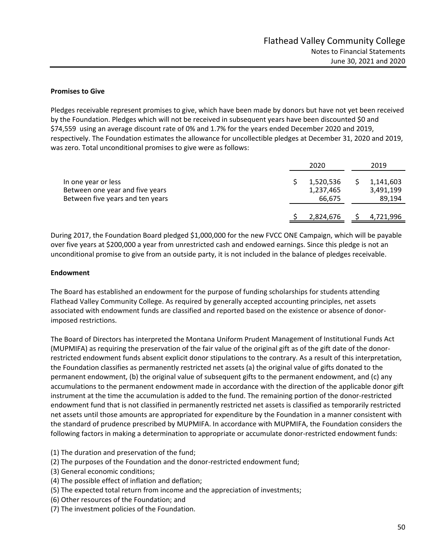## **Promises to Give**

Pledges receivable represent promises to give, which have been made by donors but have not yet been received by the Foundation. Pledges which will not be received in subsequent years have been discounted \$0 and \$74,559 using an average discount rate of 0% and 1.7% for the years ended December 2020 and 2019, respectively. The Foundation estimates the allowance for uncollectible pledges at December 31, 2020 and 2019, was zero. Total unconditional promises to give were as follows:

|                                                                                            | 2020 |                                  |  | 2019                             |
|--------------------------------------------------------------------------------------------|------|----------------------------------|--|----------------------------------|
| In one year or less<br>Between one year and five years<br>Between five years and ten years |      | 1,520,536<br>1,237,465<br>66,675 |  | 1,141,603<br>3,491,199<br>89,194 |
|                                                                                            |      | 2,824,676                        |  | 4,721,996                        |

During 2017, the Foundation Board pledged \$1,000,000 for the new FVCC ONE Campaign, which will be payable over five years at \$200,000 a year from unrestricted cash and endowed earnings. Since this pledge is not an unconditional promise to give from an outside party, it is not included in the balance of pledges receivable.

## **Endowment**

The Board has established an endowment for the purpose of funding scholarships for students attending Flathead Valley Community College. As required by generally accepted accounting principles, net assets associated with endowment funds are classified and reported based on the existence or absence of donor‐ imposed restrictions.

The Board of Directors has interpreted the Montana Uniform Prudent Management of Institutional Funds Act (MUPMIFA) as requiring the preservation of the fair value of the original gift as of the gift date of the donor‐ restricted endowment funds absent explicit donor stipulations to the contrary. As a result of this interpretation, the Foundation classifies as permanently restricted net assets (a) the original value of gifts donated to the permanent endowment, (b) the original value of subsequent gifts to the permanent endowment, and (c) any accumulations to the permanent endowment made in accordance with the direction of the applicable donor gift instrument at the time the accumulation is added to the fund. The remaining portion of the donor‐restricted endowment fund that is not classified in permanently restricted net assets is classified as temporarily restricted net assets until those amounts are appropriated for expenditure by the Foundation in a manner consistent with the standard of prudence prescribed by MUPMIFA. In accordance with MUPMIFA, the Foundation considers the following factors in making a determination to appropriate or accumulate donor-restricted endowment funds:

- (1) The duration and preservation of the fund;
- (2) The purposes of the Foundation and the donor‐restricted endowment fund;
- (3) General economic conditions;
- (4) The possible effect of inflation and deflation;
- (5) The expected total return from income and the appreciation of investments;
- (6) Other resources of the Foundation; and
- (7) The investment policies of the Foundation.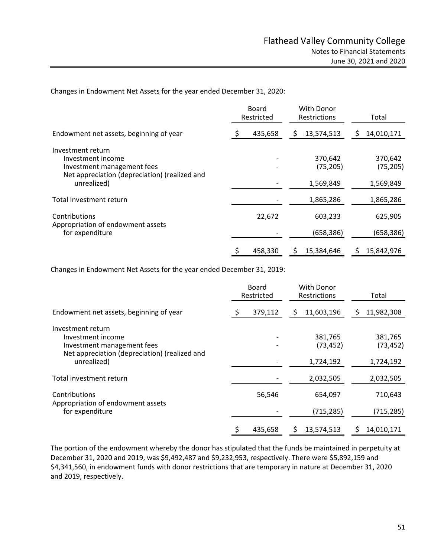Changes in Endowment Net Assets for the year ended December 31, 2020:

|                                                                                                                                      | <b>Board</b><br>Restricted | With Donor<br><b>Restrictions</b> | Total                             |
|--------------------------------------------------------------------------------------------------------------------------------------|----------------------------|-----------------------------------|-----------------------------------|
| Endowment net assets, beginning of year                                                                                              | 435,658                    | 13,574,513<br>S                   | 14,010,171<br>S                   |
| Investment return<br>Investment income<br>Investment management fees<br>Net appreciation (depreciation) (realized and<br>unrealized) |                            | 370,642<br>(75, 205)<br>1,569,849 | 370,642<br>(75, 205)<br>1,569,849 |
| Total investment return                                                                                                              |                            | 1,865,286                         | 1,865,286                         |
| Contributions<br>Appropriation of endowment assets<br>for expenditure                                                                | 22,672                     | 603,233                           | 625,905                           |
|                                                                                                                                      |                            | (658, 386)                        | (658, 386)                        |
|                                                                                                                                      | 458,330                    | 15,384,646                        | 15,842,976                        |

Changes in Endowment Net Assets for the year ended December 31, 2019:

|                                                                                                                       | Board<br>Restricted |         | With Donor<br>Restrictions |                        |   | Total                  |
|-----------------------------------------------------------------------------------------------------------------------|---------------------|---------|----------------------------|------------------------|---|------------------------|
| Endowment net assets, beginning of year                                                                               |                     | 379,112 | S                          | 11,603,196             | S | 11,982,308             |
| Investment return<br>Investment income<br>Investment management fees<br>Net appreciation (depreciation) (realized and |                     |         |                            | 381,765<br>(73, 452)   |   | 381,765<br>(73, 452)   |
| unrealized)                                                                                                           |                     |         |                            | 1,724,192<br>2,032,505 |   | 1,724,192<br>2,032,505 |
| Total investment return<br>Contributions<br>Appropriation of endowment assets<br>for expenditure                      |                     | 56,546  |                            | 654,097                |   | 710,643                |
|                                                                                                                       |                     |         |                            | (715, 285)             |   | (715, 285)             |
|                                                                                                                       |                     | 435,658 |                            | 13,574,513             | S | 14,010,171             |

 The portion of the endowment whereby the donor has stipulated that the funds be maintained in perpetuity at December 31, 2020 and 2019, was \$9,492,487 and \$9,232,953, respectively. There were \$5,892,159 and \$4,341,560, in endowment funds with donor restrictions that are temporary in nature at December 31, 2020 and 2019, respectively.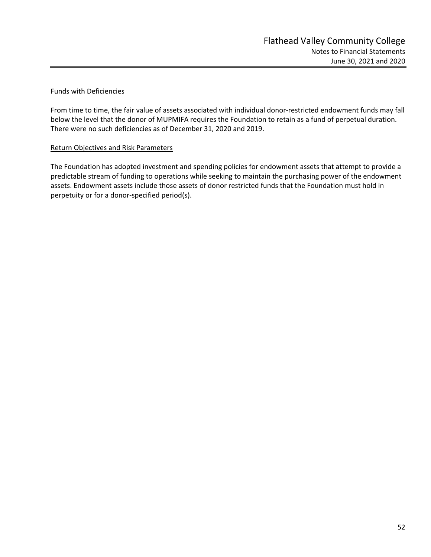## Funds with Deficiencies

From time to time, the fair value of assets associated with individual donor-restricted endowment funds may fall below the level that the donor of MUPMIFA requires the Foundation to retain as a fund of perpetual duration. There were no such deficiencies as of December 31, 2020 and 2019.

## Return Objectives and Risk Parameters

The Foundation has adopted investment and spending policies for endowment assets that attempt to provide a predictable stream of funding to operations while seeking to maintain the purchasing power of the endowment assets. Endowment assets include those assets of donor restricted funds that the Foundation must hold in perpetuity or for a donor‐specified period(s).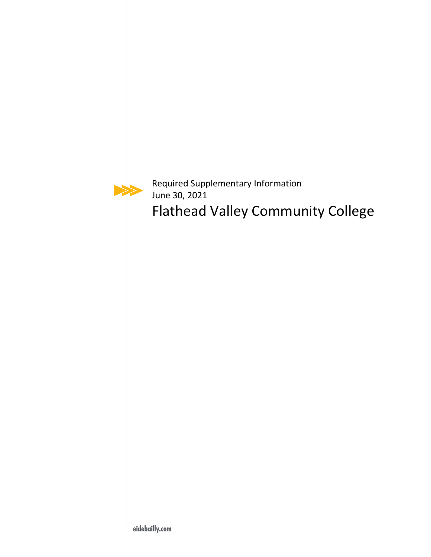

Required Supplementary Information June 30, 2021 Flathead Valley Community College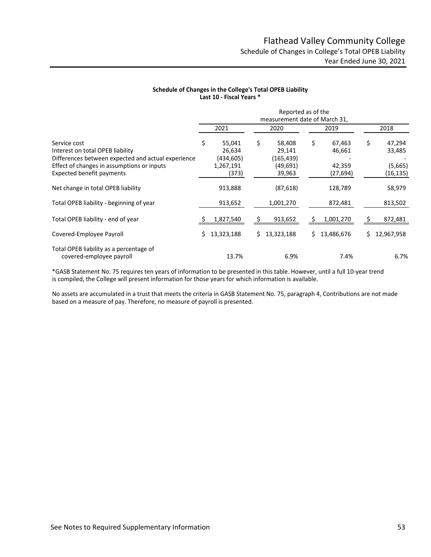|                                                                                                                                                                                   | Reported as of the<br>measurement date of March 31, |                                                     |     |                                                      |    |                                         |    |                                          |  |  |  |
|-----------------------------------------------------------------------------------------------------------------------------------------------------------------------------------|-----------------------------------------------------|-----------------------------------------------------|-----|------------------------------------------------------|----|-----------------------------------------|----|------------------------------------------|--|--|--|
|                                                                                                                                                                                   |                                                     | 2021                                                |     | 2020                                                 |    | 2019                                    |    | 2018                                     |  |  |  |
| Service cost<br>Interest on total OPEB liability<br>Differences between expected and actual experience<br>Effect of changes in assumptions or inputs<br>Expected benefit payments | \$                                                  | 55,041<br>26,634<br>(434,605)<br>1,267,191<br>(373) | \$. | 58,408<br>29,141<br>(165,439)<br>(49, 691)<br>39,963 | \$ | 67,463<br>46,661<br>42,359<br>(27, 694) | \$ | 47,294<br>33,485<br>(5,665)<br>(16, 135) |  |  |  |
| Net change in total OPEB liability                                                                                                                                                |                                                     | 913,888                                             |     | (87, 618)                                            |    | 128,789                                 |    | 58,979                                   |  |  |  |
| Total OPEB liability - beginning of year                                                                                                                                          |                                                     | 913,652                                             |     | 1,001,270                                            |    | 872,481                                 |    | 813,502                                  |  |  |  |
| Total OPEB liability - end of year                                                                                                                                                |                                                     | 1,827,540                                           |     | 913,652                                              |    | 1,001,270                               |    | 872,481                                  |  |  |  |
| Covered-Employee Payroll                                                                                                                                                          |                                                     | 13,323,188                                          | S.  | 13,323,188                                           | S. | 13,486,676                              | S. | 12,967,958                               |  |  |  |
| Total OPEB liability as a percentage of<br>covered-employee payroll                                                                                                               |                                                     | 13.7%                                               |     | 6.9%                                                 |    | 7.4%                                    |    | 6.7%                                     |  |  |  |

#### **Schedule of Changes in the College's Total OPEB Liability Last 10 ‐ Fiscal Years \***

is compiled, the College will present information for those years for which information is available. \*GASB Statement No. 75 requires ten years of information to be presented in this table. However, until a full 10‐year trend

No assets are accumulated in a trust that meets the criteria in GASB Statement No. 75, paragraph 4, Contributions are not made based on a measure of pay. Therefore, no measure of payroll is presented.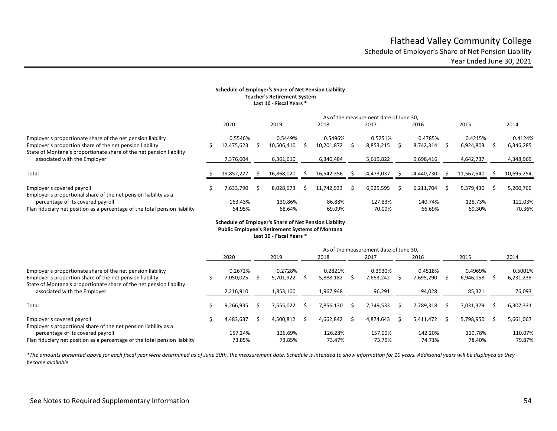#### **Schedule of Employer's Share of Net Pension Liability Teacher's Retirement System Last 10 ‐ Fiscal Years \***

|                                                                                                                                                                                                | As of the measurement date of June 30. |                       |  |                       |  |                       |  |                      |                      |                      |  |                      |
|------------------------------------------------------------------------------------------------------------------------------------------------------------------------------------------------|----------------------------------------|-----------------------|--|-----------------------|--|-----------------------|--|----------------------|----------------------|----------------------|--|----------------------|
|                                                                                                                                                                                                |                                        | 2020                  |  | 2019                  |  | 2018                  |  | 2017                 | 2016                 | 2015                 |  | 2014                 |
| Employer's proportionate share of the net pension liability<br>Employer's proportion share of the net pension liability<br>State of Montana's proportionate share of the net pension liability |                                        | 0.5546%<br>12,475,623 |  | 0.5449%<br>10,506,410 |  | 0.5496%<br>10,201,872 |  | 0.5251%<br>8,853,215 | 0.4785%<br>8,742,314 | 0.4215%<br>6,924,803 |  | 0.4124%<br>6,346,285 |
| associated with the Employer                                                                                                                                                                   |                                        | 7,376,604             |  | 6,361,610             |  | 6,340,484             |  | 5,619,822            | 5,698,416            | 4,642,737            |  | 4,348,969            |
| Total                                                                                                                                                                                          |                                        | 19,852,227            |  | 16,868,020            |  | 16,542,356            |  | 14,473,037           | 14,440,730           | 11,567,540           |  | 10,695,254           |
| Employer's covered payroll<br>Employer's proportional share of the net pension liability as a                                                                                                  |                                        | 7,633,790             |  | 8,028,673             |  | 11.742.933            |  | 6,925,595            | 6,211,704            | 5,379,430            |  | 5,200,760            |
| percentage of its covered payroll<br>Plan fiduciary net position as a percentage of the total pension liability                                                                                |                                        | 163.43%<br>64.95%     |  | 130.86%<br>68.64%     |  | 86.88%<br>69.09%      |  | 127.83%<br>70.09%    | 140.74%<br>66.69%    | 128.73%<br>69.30%    |  | 122.03%<br>70.36%    |

#### **Schedule of Employer's Share of Net Pension Liability Public Employee's Retirement Systems of Montana Last 10 ‐ Fiscal Years \***

|                                                                                                                                                                                                | As of the measurement date of June 30. |                      |  |                      |  |                      |  |                      |                      |  |                      |                      |
|------------------------------------------------------------------------------------------------------------------------------------------------------------------------------------------------|----------------------------------------|----------------------|--|----------------------|--|----------------------|--|----------------------|----------------------|--|----------------------|----------------------|
|                                                                                                                                                                                                |                                        | 2020                 |  | 2019                 |  | 2018                 |  | 2017                 | 2016                 |  | 2015                 | 2014                 |
| Employer's proportionate share of the net pension liability<br>Employer's proportion share of the net pension liability<br>State of Montana's proportionate share of the net pension liability |                                        | 0.2672%<br>7,050,025 |  | 0.2728%<br>5,701,922 |  | 0.2821%<br>5,888,182 |  | 0.3930%<br>7,653,242 | 0.4518%<br>7,695,290 |  | 0.4969%<br>6,946,058 | 0.5001%<br>6,231,238 |
| associated with the Employer                                                                                                                                                                   |                                        | 2,216,910            |  | 1,853,100            |  | 1,967,948            |  | 96,291               | 94,028               |  | 85,321               | 76,093               |
| Total                                                                                                                                                                                          |                                        | 9,266,935            |  | 7,555,022            |  | 7,856,130            |  | 7,749,533            | 7,789,318            |  | 7,031,379            | 6,307,331            |
| Employer's covered payroll<br>Employer's proportional share of the net pension liability as a                                                                                                  |                                        | 4,483,637            |  | 4,500,812            |  | 4,662,842            |  | 4.874.643            | 5,411,472            |  | 5,798,950            | 5,661,067            |
| percentage of its covered payroll<br>Plan fiduciary net position as a percentage of the total pension liability                                                                                |                                        | 157.24%<br>73.85%    |  | 126.69%<br>73.85%    |  | 126.28%<br>73.47%    |  | 157.00%<br>73.75%    | 142.20%<br>74.71%    |  | 119.78%<br>78.40%    | 110.07%<br>79.87%    |

\*The amounts presented above for each fiscal year were determined as of June 30th, the measurement date. Schedule is intended to show information for 10 years. Additional years will be displayed as they *become available.*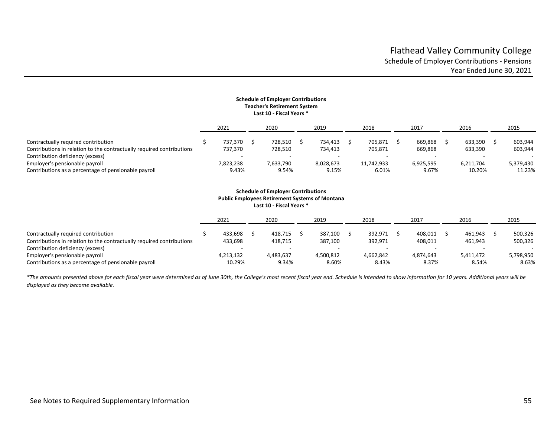|      | <b>Schedule of Employer Contributions</b>                      |      |  |
|------|----------------------------------------------------------------|------|--|
|      | <b>Teacher's Retirement System</b><br>Last 10 - Fiscal Years * |      |  |
| 3034 | 3030                                                           | 3010 |  |

|                                                                       | 2021      | 2020      | 2019      | 2018       | 2011      | 2016      | 2015      |
|-----------------------------------------------------------------------|-----------|-----------|-----------|------------|-----------|-----------|-----------|
|                                                                       |           |           |           |            |           |           |           |
| Contractually required contribution                                   | 737.370   | 728.510   | 734.413   | 705.871    | 669,868   | 633.390   | 603.944   |
| Contributions in relation to the contractually required contributions | 737,370   | 728,510   | 734.413   | 705,871    | 669,868   | 633,390   | 603,944   |
| Contribution deficiency (excess)                                      |           |           |           |            |           |           |           |
| Employer's pensionable payroll                                        | 7,823,238 | 7,633,790 | 8,028,673 | 11,742,933 | 6.925.595 | 6,211,704 | 5,379,430 |
| Contributions as a percentage of pensionable payroll                  | 9.43%     | 9.54%     | 9.15%     | 6.01%      | 9.67%     | 10.20%    | 11.23%    |

#### **Schedule of Employer Contributions Public Employees Retirement Systems of Montana Last 10 ‐ Fiscal Years \***

|                                                                       | 2021      | 2020      | 2019      | 2018      | 2017      | 2016      | 2015      |
|-----------------------------------------------------------------------|-----------|-----------|-----------|-----------|-----------|-----------|-----------|
| Contractually required contribution                                   | 433.698   | 418.715   | 387.100   | 392.971   | 408,011   | 461.943   | 500,326   |
| Contributions in relation to the contractually required contributions | 433,698   | 418,715   | 387.100   | 392,971   | 408,011   | 461,943   | 500,326   |
| Contribution deficiency (excess)                                      |           |           |           |           |           |           |           |
| Employer's pensionable payroll                                        | 4,213,132 | 4,483,637 | 4,500,812 | 4,662,842 | 4,874,643 | 5,411,472 | 5,798,950 |
| Contributions as a percentage of pensionable payroll                  | 10.29%    | 9.34%     | 8.60%     | 8.43%     | 8.37%     | 8.54%     | 8.63%     |

\*The amounts presented above for each fiscal year were determined as of June 30th, the College's most recent fiscal year end. Schedule is intended to show information for 10 years. Additional years will be *displayed as they become available.*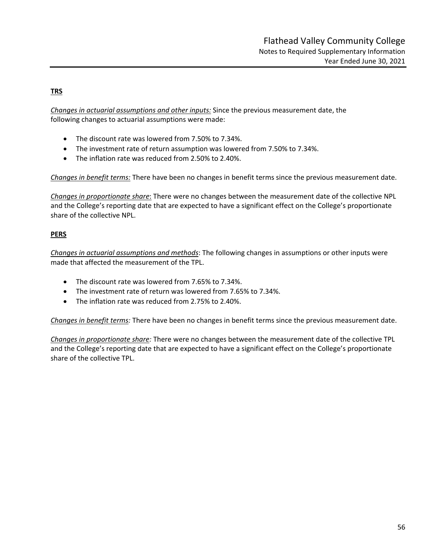## **TRS**

*Changes in actuarial assumptions and other inputs:* Since the previous measurement date, the following changes to actuarial assumptions were made:

- The discount rate was lowered from 7.50% to 7.34%.
- The investment rate of return assumption was lowered from 7.50% to 7.34%.
- The inflation rate was reduced from 2.50% to 2.40%.

*Changes in benefit terms:* There have been no changes in benefit terms since the previous measurement date.

*Changes in proportionate share*: There were no changes between the measurement date of the collective NPL and the College's reporting date that are expected to have a significant effect on the College's proportionate share of the collective NPL.

## **PERS**

*Changes in actuarial assumptions and methods*: The following changes in assumptions or other inputs were made that affected the measurement of the TPL.

- The discount rate was lowered from 7.65% to 7.34%.
- The investment rate of return was lowered from 7.65% to 7.34%.
- The inflation rate was reduced from 2.75% to 2.40%.

*Changes in benefit terms:* There have been no changes in benefit terms since the previous measurement date.

*Changes in proportionate share:* There were no changes between the measurement date of the collective TPL and the College's reporting date that are expected to have a significant effect on the College's proportionate share of the collective TPL.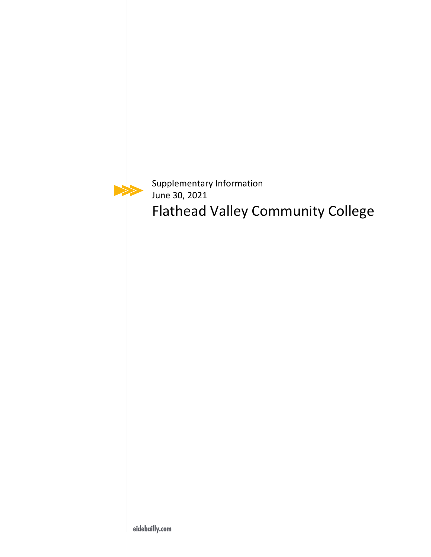Supplementary Information June 30, 2021 Flathead Valley Community College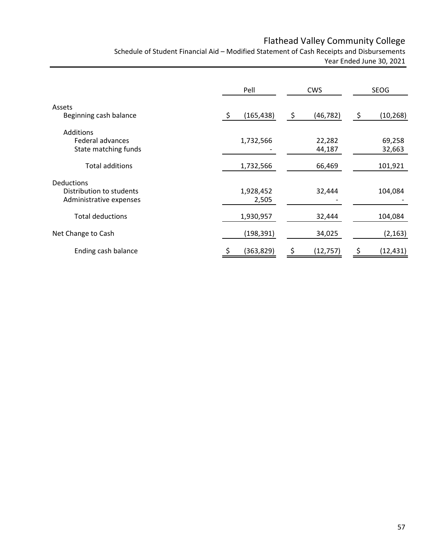# Flathead Valley Community College

Schedule of Student Financial Aid – Modified Statement of Cash Receipts and Disbursements

Year Ended June 30, 2021

|                                                     | Pell               | <b>CWS</b>      | <b>SEOG</b>     |
|-----------------------------------------------------|--------------------|-----------------|-----------------|
| Assets<br>Beginning cash balance                    | (165, 438)<br>-\$  | \$<br>(46, 782) | \$<br>(10, 268) |
|                                                     |                    |                 |                 |
| Additions<br>Federal advances                       | 1,732,566          | 22,282          | 69,258          |
| State matching funds                                |                    | 44,187          | 32,663          |
| <b>Total additions</b>                              | 1,732,566          | 66,469          | 101,921         |
| Deductions                                          |                    |                 |                 |
| Distribution to students<br>Administrative expenses | 1,928,452<br>2,505 | 32,444          | 104,084         |
|                                                     |                    |                 |                 |
| <b>Total deductions</b>                             | 1,930,957          | 32,444          | 104,084         |
| Net Change to Cash                                  | (198, 391)         | 34,025          | (2, 163)        |
| Ending cash balance                                 | (363, 829)<br>Ş    | \$<br>(12, 757) | \$<br>(12, 431) |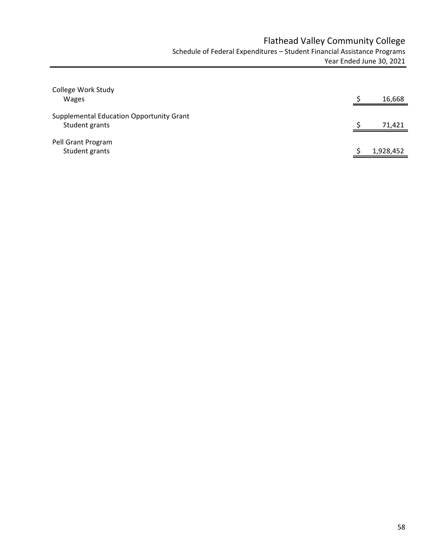# Flathead Valley Community College

Schedule of Federal Expenditures – Student Financial Assistance Programs Year Ended June 30, 2021

| College Work Study<br><b>Wages</b>                         | 16,668    |
|------------------------------------------------------------|-----------|
| Supplemental Education Opportunity Grant<br>Student grants | 71,421    |
| Pell Grant Program<br>Student grants                       | 1,928,452 |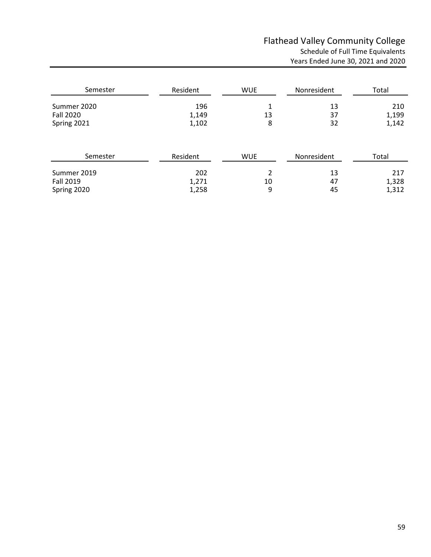## Flathead Valley Community College Schedule of Full Time Equivalents Years Ended June 30, 2021 and 2020

| Semester                                       | Resident              | <b>WUE</b>   | Nonresident    | Total                 |
|------------------------------------------------|-----------------------|--------------|----------------|-----------------------|
| Summer 2020<br>Fall 2020<br>Spring 2021        | 196<br>1,149<br>1,102 | 13<br>8      | 13<br>37<br>32 | 210<br>1,199<br>1,142 |
| Semester                                       | Resident              | <b>WUE</b>   | Nonresident    | Total                 |
| Summer 2019<br><b>Fall 2019</b><br>Spring 2020 | 202<br>1,271<br>1,258 | 2<br>10<br>9 | 13<br>47<br>45 | 217<br>1,328<br>1,312 |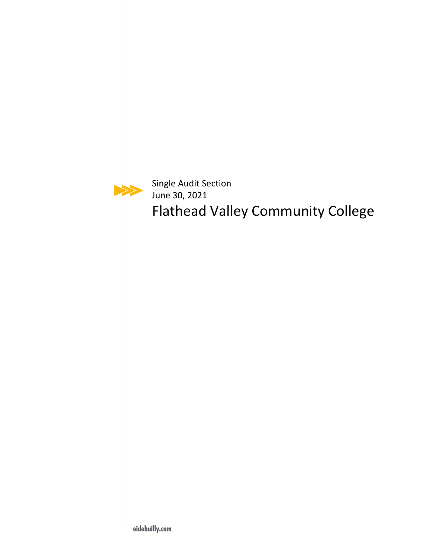Single Audit Section June 30, 2021 Flathead Valley Community College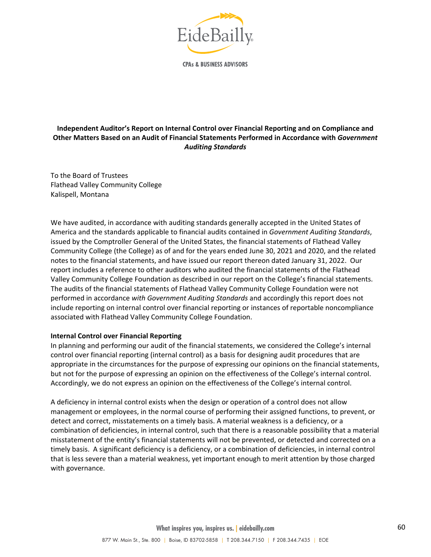

**CPAs & BUSINESS ADVISORS** 

## **Independent Auditor's Report on Internal Control over Financial Reporting and on Compliance and Other Matters Based on an Audit of Financial Statements Performed in Accordance with** *Government Auditing Standards*

To the Board of Trustees Flathead Valley Community College Kalispell, Montana

We have audited, in accordance with auditing standards generally accepted in the United States of America and the standards applicable to financial audits contained in *Government Auditing Standards*, issued by the Comptroller General of the United States, the financial statements of Flathead Valley Community College (the College) as of and for the years ended June 30, 2021 and 2020, and the related notes to the financial statements, and have issued our report thereon dated January 31, 2022. Our report includes a reference to other auditors who audited the financial statements of the Flathead Valley Community College Foundation as described in our report on the College's financial statements. The audits of the financial statements of Flathead Valley Community College Foundation were not performed in accordance *with Government Auditing Standards* and accordingly this report does not include reporting on internal control over financial reporting or instances of reportable noncompliance associated with Flathead Valley Community College Foundation.

#### **Internal Control over Financial Reporting**

In planning and performing our audit of the financial statements, we considered the College's internal control over financial reporting (internal control) as a basis for designing audit procedures that are appropriate in the circumstances for the purpose of expressing our opinions on the financial statements, but not for the purpose of expressing an opinion on the effectiveness of the College's internal control. Accordingly, we do not express an opinion on the effectiveness of the College's internal control.

A deficiency in internal control exists when the design or operation of a control does not allow management or employees, in the normal course of performing their assigned functions, to prevent, or detect and correct, misstatements on a timely basis. A material weakness is a deficiency, or a combination of deficiencies, in internal control, such that there is a reasonable possibility that a material misstatement of the entity's financial statements will not be prevented, or detected and corrected on a timely basis. A significant deficiency is a deficiency, or a combination of deficiencies, in internal control that is less severe than a material weakness, yet important enough to merit attention by those charged with governance.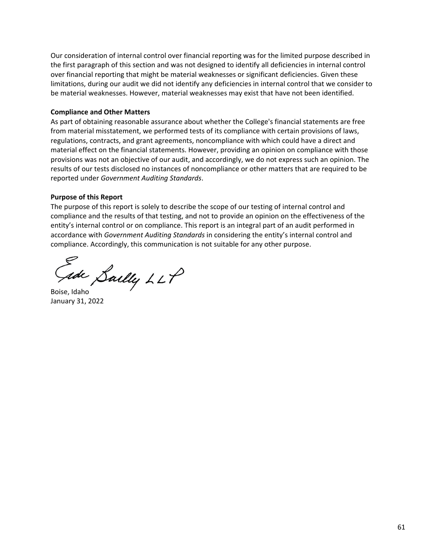Our consideration of internal control over financial reporting was for the limited purpose described in the first paragraph of this section and was not designed to identify all deficiencies in internal control over financial reporting that might be material weaknesses or significant deficiencies. Given these limitations, during our audit we did not identify any deficiencies in internal control that we consider to be material weaknesses. However, material weaknesses may exist that have not been identified.

## **Compliance and Other Matters**

As part of obtaining reasonable assurance about whether the College's financial statements are free from material misstatement, we performed tests of its compliance with certain provisions of laws, regulations, contracts, and grant agreements, noncompliance with which could have a direct and material effect on the financial statements. However, providing an opinion on compliance with those provisions was not an objective of our audit, and accordingly, we do not express such an opinion. The results of our tests disclosed no instances of noncompliance or other matters that are required to be reported under *Government Auditing Standards*.

## **Purpose of this Report**

The purpose of this report is solely to describe the scope of our testing of internal control and compliance and the results of that testing, and not to provide an opinion on the effectiveness of the entity's internal control or on compliance. This report is an integral part of an audit performed in accordance with *Government Auditing Standards* in considering the entity's internal control and compliance. Accordingly, this communication is not suitable for any other purpose.

Gade Sailly LLP

January 31, 2022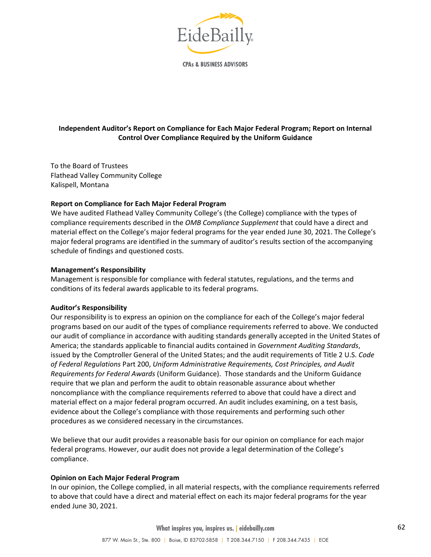

**CPAs & BUSINESS ADVISORS** 

## **Independent Auditor's Report on Compliance for Each Major Federal Program; Report on Internal Control Over Compliance Required by the Uniform Guidance**

To the Board of Trustees Flathead Valley Community College Kalispell, Montana

## **Report on Compliance for Each Major Federal Program**

We have audited Flathead Valley Community College's (the College) compliance with the types of compliance requirements described in the *OMB Compliance Supplement* that could have a direct and material effect on the College's major federal programs for the year ended June 30, 2021. The College's major federal programs are identified in the summary of auditor's results section of the accompanying schedule of findings and questioned costs.

## **Management's Responsibility**

Management is responsible for compliance with federal statutes, regulations, and the terms and conditions of its federal awards applicable to its federal programs.

## **Auditor's Responsibility**

Our responsibility is to express an opinion on the compliance for each of the College's major federal programs based on our audit of the types of compliance requirements referred to above. We conducted our audit of compliance in accordance with auditing standards generally accepted in the United States of America; the standards applicable to financial audits contained in *Government Auditing Standards*, issued by the Comptroller General of the United States; and the audit requirements of Title 2 U.S. *Code of Federal Regulations* Part 200, *Uniform Administrative Requirements, Cost Principles, and Audit Requirements for Federal Awards* (Uniform Guidance). Those standards and the Uniform Guidance require that we plan and perform the audit to obtain reasonable assurance about whether noncompliance with the compliance requirements referred to above that could have a direct and material effect on a major federal program occurred. An audit includes examining, on a test basis, evidence about the College's compliance with those requirements and performing such other procedures as we considered necessary in the circumstances.

We believe that our audit provides a reasonable basis for our opinion on compliance for each major federal programs. However, our audit does not provide a legal determination of the College's compliance.

## **Opinion on Each Major Federal Program**

In our opinion, the College complied, in all material respects, with the compliance requirements referred to above that could have a direct and material effect on each its major federal programs for the year ended June 30, 2021.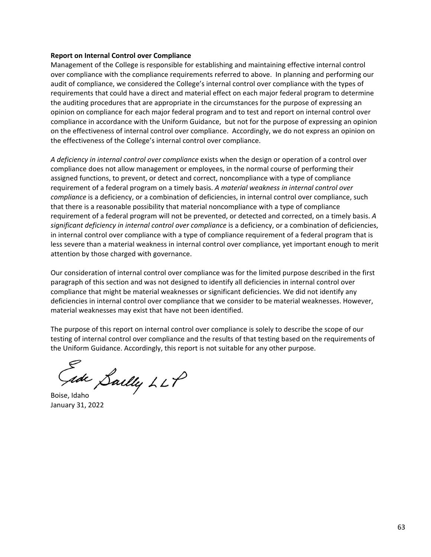#### **Report on Internal Control over Compliance**

Management of the College is responsible for establishing and maintaining effective internal control over compliance with the compliance requirements referred to above. In planning and performing our audit of compliance, we considered the College's internal control over compliance with the types of requirements that could have a direct and material effect on each major federal program to determine the auditing procedures that are appropriate in the circumstances for the purpose of expressing an opinion on compliance for each major federal program and to test and report on internal control over compliance in accordance with the Uniform Guidance, but not for the purpose of expressing an opinion on the effectiveness of internal control over compliance. Accordingly, we do not express an opinion on the effectiveness of the College's internal control over compliance.

*A deficiency in internal control over compliance* exists when the design or operation of a control over compliance does not allow management or employees, in the normal course of performing their assigned functions, to prevent, or detect and correct, noncompliance with a type of compliance requirement of a federal program on a timely basis. *A material weakness in internal control over compliance* is a deficiency, or a combination of deficiencies, in internal control over compliance, such that there is a reasonable possibility that material noncompliance with a type of compliance requirement of a federal program will not be prevented, or detected and corrected, on a timely basis. *A significant deficiency in internal control over compliance* is a deficiency, or a combination of deficiencies, in internal control over compliance with a type of compliance requirement of a federal program that is less severe than a material weakness in internal control over compliance, yet important enough to merit attention by those charged with governance.

Our consideration of internal control over compliance was for the limited purpose described in the first paragraph of this section and was not designed to identify all deficiencies in internal control over compliance that might be material weaknesses or significant deficiencies. We did not identify any deficiencies in internal control over compliance that we consider to be material weaknesses. However, material weaknesses may exist that have not been identified.

The purpose of this report on internal control over compliance is solely to describe the scope of our testing of internal control over compliance and the results of that testing based on the requirements of the Uniform Guidance. Accordingly, this report is not suitable for any other purpose.

Gade Saelly LLP

January 31, 2022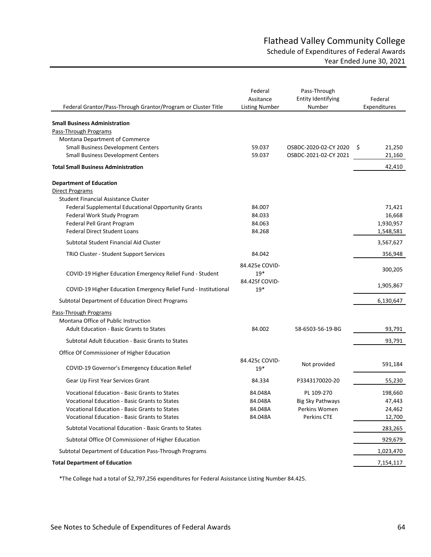| Federal Grantor/Pass-Through Grantor/Program or Cluster Title   | Federal<br>Assitance<br><b>Listing Number</b> | Pass-Through<br><b>Entity Identifying</b><br>Number | Federal<br>Expenditures |
|-----------------------------------------------------------------|-----------------------------------------------|-----------------------------------------------------|-------------------------|
|                                                                 |                                               |                                                     |                         |
| <b>Small Business Administration</b>                            |                                               |                                                     |                         |
| Pass-Through Programs                                           |                                               |                                                     |                         |
| Montana Department of Commerce                                  |                                               |                                                     |                         |
| <b>Small Business Development Centers</b>                       | 59.037                                        | OSBDC-2020-02-CY 2020                               | 21,250<br>S             |
| <b>Small Business Development Centers</b>                       | 59.037                                        | OSBDC-2021-02-CY 2021                               | 21,160                  |
| <b>Total Small Business Administration</b>                      |                                               |                                                     | 42,410                  |
| <b>Department of Education</b>                                  |                                               |                                                     |                         |
| <b>Direct Programs</b>                                          |                                               |                                                     |                         |
| <b>Student Financial Assistance Cluster</b>                     |                                               |                                                     |                         |
| Federal Supplemental Educational Opportunity Grants             | 84.007                                        |                                                     | 71,421                  |
| Federal Work Study Program                                      | 84.033                                        |                                                     | 16,668                  |
| Federal Pell Grant Program                                      | 84.063                                        |                                                     | 1,930,957               |
| <b>Federal Direct Student Loans</b>                             | 84.268                                        |                                                     | 1,548,581               |
| Subtotal Student Financial Aid Cluster                          |                                               |                                                     | 3,567,627               |
| TRIO Cluster - Student Support Services                         | 84.042                                        |                                                     | 356,948                 |
|                                                                 | 84.425e COVID-                                |                                                     |                         |
| COVID-19 Higher Education Emergency Relief Fund - Student       | $19*$                                         |                                                     | 300,205                 |
|                                                                 | 84.425f COVID-                                |                                                     | 1,905,867               |
| COVID-19 Higher Education Emergency Relief Fund - Institutional | $19*$                                         |                                                     |                         |
| Subtotal Department of Education Direct Programs                |                                               |                                                     | 6,130,647               |
| Pass-Through Programs                                           |                                               |                                                     |                         |
| Montana Office of Public Instruction                            |                                               |                                                     |                         |
| <b>Adult Education - Basic Grants to States</b>                 | 84.002                                        | 58-6503-56-19-BG                                    | 93,791                  |
| Subtotal Adult Education - Basic Grants to States               |                                               |                                                     | 93,791                  |
| Office Of Commissioner of Higher Education                      |                                               |                                                     |                         |
|                                                                 | 84.425c COVID-                                | Not provided                                        | 591,184                 |
| COVID-19 Governor's Emergency Education Relief                  | $19*$                                         |                                                     |                         |
| Gear Up First Year Services Grant                               | 84.334                                        | P3343170020-20                                      | 55,230                  |
| <b>Vocational Education - Basic Grants to States</b>            | 84.048A                                       | PL 109-270                                          | 198,660                 |
| Vocational Education - Basic Grants to States                   | 84.048A                                       | <b>Big Sky Pathways</b>                             | 47,443                  |
| <b>Vocational Education - Basic Grants to States</b>            | 84.048A                                       | Perkins Women                                       | 24,462                  |
| <b>Vocational Education - Basic Grants to States</b>            | 84.048A                                       | Perkins CTE                                         | 12,700                  |
| Subtotal Vocational Education - Basic Grants to States          |                                               |                                                     | 283,265                 |
| Subtotal Office Of Commissioner of Higher Education             |                                               |                                                     | 929,679                 |
| Subtotal Department of Education Pass-Through Programs          |                                               |                                                     | 1,023,470               |
| <b>Total Department of Education</b>                            |                                               |                                                     | 7,154,117               |

\*The College had a total of \$2,797,256 expenditures for Federal Asisstance Listing Number 84.425.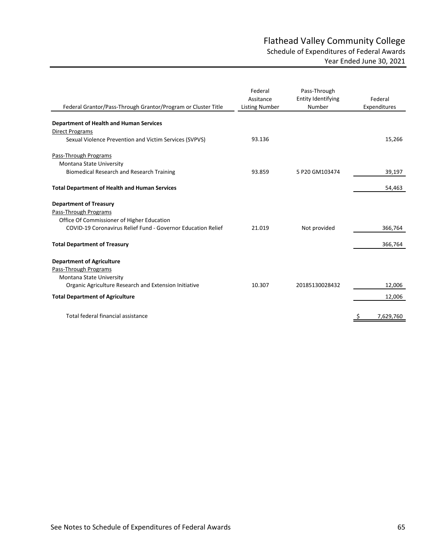## Flathead Valley Community College Schedule of Expenditures of Federal Awards Year Ended June 30, 2021

|                                                                                                                                    | Federal<br>Assitance  | Pass-Through<br><b>Entity Identifying</b> | Federal      |
|------------------------------------------------------------------------------------------------------------------------------------|-----------------------|-------------------------------------------|--------------|
| Federal Grantor/Pass-Through Grantor/Program or Cluster Title                                                                      | <b>Listing Number</b> | Number                                    | Expenditures |
| <b>Department of Health and Human Services</b><br><b>Direct Programs</b><br>Sexual Violence Prevention and Victim Services (SVPVS) | 93.136                |                                           | 15,266       |
| Pass-Through Programs                                                                                                              |                       |                                           |              |
| Montana State University<br><b>Biomedical Research and Research Training</b>                                                       | 93.859                | 5 P20 GM103474                            | 39,197       |
| <b>Total Department of Health and Human Services</b>                                                                               |                       |                                           | 54,463       |
| <b>Department of Treasury</b><br>Pass-Through Programs<br>Office Of Commissioner of Higher Education                               |                       |                                           |              |
| COVID-19 Coronavirus Relief Fund - Governor Education Relief                                                                       | 21.019                | Not provided                              | 366,764      |
| <b>Total Department of Treasury</b>                                                                                                |                       |                                           | 366,764      |
| <b>Department of Agriculture</b><br>Pass-Through Programs<br>Montana State University                                              |                       |                                           |              |
| Organic Agriculture Research and Extension Initiative                                                                              | 10.307                | 20185130028432                            | 12,006       |
| <b>Total Department of Agriculture</b>                                                                                             |                       |                                           | 12,006       |
| Total federal financial assistance                                                                                                 |                       |                                           | 7,629,760    |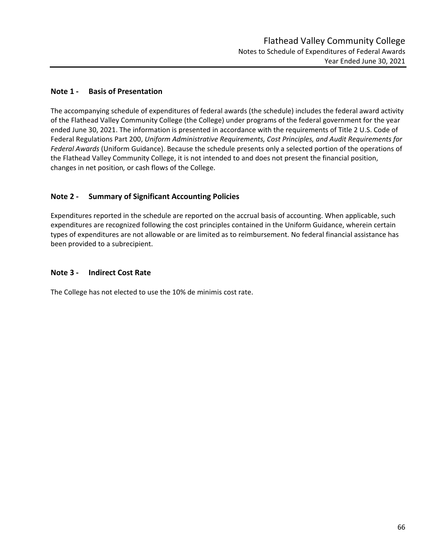## **Note 1 ‐ Basis of Presentation**

The accompanying schedule of expenditures of federal awards (the schedule) includes the federal award activity of the Flathead Valley Community College (the College) under programs of the federal government for the year ended June 30, 2021. The information is presented in accordance with the requirements of Title 2 U.S. Code of Federal Regulations Part 200, *Uniform Administrative Requirements, Cost Principles, and Audit Requirements for Federal Awards* (Uniform Guidance). Because the schedule presents only a selected portion of the operations of the Flathead Valley Community College, it is not intended to and does not present the financial position, changes in net position*,* or cash flows of the College.

## **Note 2 ‐ Summary of Significant Accounting Policies**

Expenditures reported in the schedule are reported on the accrual basis of accounting. When applicable, such expenditures are recognized following the cost principles contained in the Uniform Guidance, wherein certain types of expenditures are not allowable or are limited as to reimbursement. No federal financial assistance has been provided to a subrecipient.

## **Note 3 ‐ Indirect Cost Rate**

The College has not elected to use the 10% de minimis cost rate.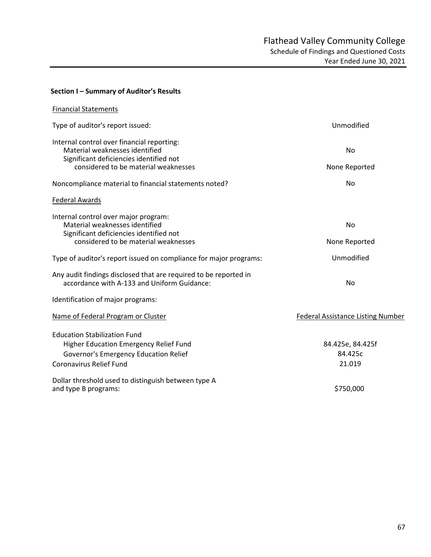## **Section I – Summary of Auditor's Results**

| <b>Financial Statements</b>                                                                                       |                                          |
|-------------------------------------------------------------------------------------------------------------------|------------------------------------------|
| Type of auditor's report issued:                                                                                  | Unmodified                               |
| Internal control over financial reporting:<br>Material weaknesses identified                                      | No                                       |
| Significant deficiencies identified not<br>considered to be material weaknesses                                   | None Reported                            |
| Noncompliance material to financial statements noted?                                                             | No                                       |
| <b>Federal Awards</b>                                                                                             |                                          |
| Internal control over major program:<br>Material weaknesses identified<br>Significant deficiencies identified not | No                                       |
| considered to be material weaknesses                                                                              | None Reported                            |
| Type of auditor's report issued on compliance for major programs:                                                 | Unmodified                               |
| Any audit findings disclosed that are required to be reported in<br>accordance with A-133 and Uniform Guidance:   | <b>No</b>                                |
| Identification of major programs:                                                                                 |                                          |
| Name of Federal Program or Cluster                                                                                | <b>Federal Assistance Listing Number</b> |
| <b>Education Stabilization Fund</b>                                                                               |                                          |
| Higher Education Emergency Relief Fund<br>Governor's Emergency Education Relief                                   | 84.425e, 84.425f<br>84.425c              |
| <b>Coronavirus Relief Fund</b>                                                                                    | 21.019                                   |
| Dollar threshold used to distinguish between type A                                                               |                                          |
| and type B programs:                                                                                              | \$750,000                                |